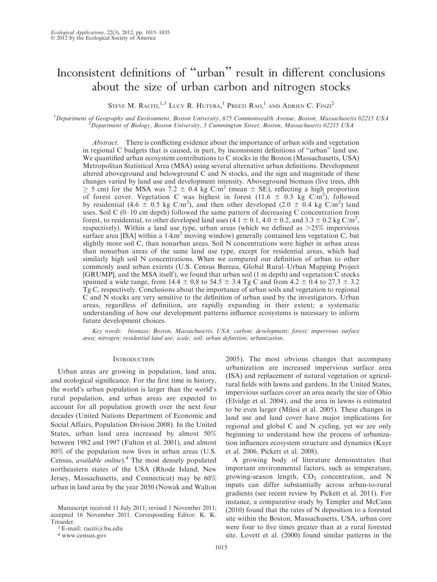# Inconsistent definitions of ''urban'' result in different conclusions about the size of urban carbon and nitrogen stocks

Steve M. Raciti, <sup>1,3</sup> Lucy R. Hutyra, <sup>1</sup> Preeti Rao, <sup>1</sup> and Adrien C. Finzi<sup>2</sup>

<sup>1</sup>Department of Geography and Environment, Boston University, 675 Commonwealth Avenue, Boston, Massachusetts 02215 USA<br><sup>2</sup> Department of Biology, Boston University, 5 Cymminaton Street, Boston, Massachusetts 02215 USA  $\tilde{P}$ Department of Biology, Boston University, 5 Cummington Street, Boston, Massachusetts 02215 USA

Abstract. There is conflicting evidence about the importance of urban soils and vegetation in regional C budgets that is caused, in part, by inconsistent definitions of ''urban'' land use. We quantified urban ecosystem contributions to C stocks in the Boston (Massachusetts, USA) Metropolitan Statistical Area (MSA) using several alternative urban definitions. Development altered aboveground and belowground C and N stocks, and the sign and magnitude of these changes varied by land use and development intensity. Aboveground biomass (live trees, dbh  $\geq$  5 cm) for the MSA was 7.2  $\pm$  0.4 kg C/m<sup>2</sup> (mean  $\pm$  SE), reflecting a high proportion of forest cover. Vegetation C was highest in forest (11.6  $\pm$  0.5 kg C/m<sup>2</sup>), followed by residential (4.6  $\pm$  0.5 kg C/m<sup>2</sup>), and then other developed (2.0  $\pm$  0.4 kg C/m<sup>2</sup>) land uses. Soil C (0–10 cm depth) followed the same pattern of decreasing C concentration from forest, to residential, to other developed land uses  $(4.1 \pm 0.1, 4.0 \pm 0.2, \text{ and } 3.3 \pm 0.2 \text{ kg C/m}^2)$ respectively). Within a land use type, urban areas (which we defined as  $>25\%$  impervious surface area [ISA] within a 1-km<sup>2</sup> moving window) generally contained less vegetation C, but slightly more soil C, than nonurban areas. Soil N concentrations were higher in urban areas than nonurban areas of the same land use type, except for residential areas, which had similarly high soil N concentrations. When we compared our definition of urban to other commonly used urban extents (U.S. Census Bureau, Global Rural–Urban Mapping Project [GRUMP], and the MSA itself ), we found that urban soil (1 m depth) and vegetation C stocks spanned a wide range, from 14.4  $\pm$  0.8 to 54.5  $\pm$  3.4 Tg C and from 4.2  $\pm$  0.4 to 27.3  $\pm$  3.2 Tg C, respectively. Conclusions about the importance of urban soils and vegetation to regional C and N stocks are very sensitive to the definition of urban used by the investigators. Urban areas, regardless of definition, are rapidly expanding in their extent; a systematic understanding of how our development patterns influence ecosystems is necessary to inform future development choices.

Key words: biomass; Boston, Massachusetts, USA; carbon; development; forest; impervious surface area; nitrogen; residential land use; scale; soil; urban definition; urbanization.

## **INTRODUCTION**

Urban areas are growing in population, land area, and ecological significance. For the first time in history, the world's urban population is larger than the world's rural population, and urban areas are expected to account for all population growth over the next four decades (United Nations Department of Economic and Social Affairs, Population Division 2008). In the United States, urban land area increased by almost 50% between 1982 and 1997 (Fulton et al. 2001), and almost 80% of the population now lives in urban areas (U.S. Census, *available online*).<sup>4</sup> The most densely populated northeastern states of the USA (Rhode Island, New Jersey, Massachusetts, and Connecticut) may be 60% urban in land area by the year 2050 (Nowak and Walton

3 E-mail: raciti@bu.edu

<sup>4</sup> www.census.gov

2005). The most obvious changes that accompany urbanization are increased impervious surface area (ISA) and replacement of natural vegetation or agricultural fields with lawns and gardens. In the United States, impervious surfaces cover an area nearly the size of Ohio (Elvidge et al. 2004), and the area in lawns is estimated to be even larger (Milesi et al. 2005). These changes in land use and land cover have major implications for regional and global C and N cycling, yet we are only beginning to understand how the process of urbanization influences ecosystem structure and dynamics (Kaye et al. 2006, Pickett et al. 2008).

A growing body of literature demonstrates that important environmental factors, such as temperature, growing-season length,  $CO<sub>2</sub>$  concentration, and N inputs can differ substantially across urban-to-rural gradients (see recent review by Pickett et al. 2011). For instance, a comparative study by Templer and McCann (2010) found that the rates of N deposition to a forested site within the Boston, Massachusetts, USA, urban core were four to five times greater than at a rural forested site. Lovett et al. (2000) found similar patterns in the

Manuscript received 11 July 2011; revised 1 November 2011; accepted 16 November 2011. Corresponding Editor: K. K. Treseder.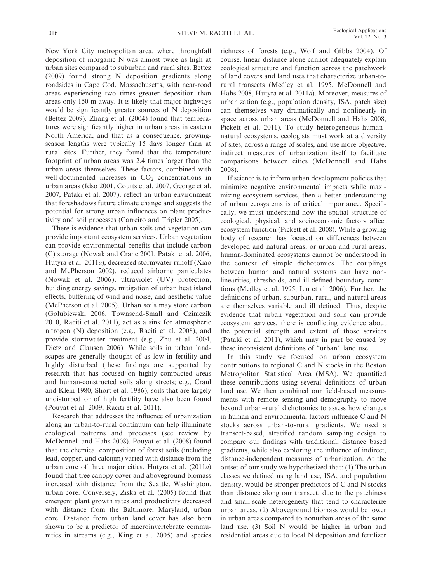New York City metropolitan area, where throughfall deposition of inorganic N was almost twice as high at urban sites compared to suburban and rural sites. Bettez (2009) found strong N deposition gradients along roadsides in Cape Cod, Massachusetts, with near-road areas experiencing two times greater deposition than areas only 150 m away. It is likely that major highways would be significantly greater sources of N deposition (Bettez 2009). Zhang et al. (2004) found that temperatures were significantly higher in urban areas in eastern North America, and that as a consequence, growingseason lengths were typically 15 days longer than at rural sites. Further, they found that the temperature footprint of urban areas was 2.4 times larger than the urban areas themselves. These factors, combined with well-documented increases in  $CO<sub>2</sub>$  concentrations in urban areas (Idso 2001, Coutts et al. 2007, George et al. 2007, Pataki et al. 2007), reflect an urban environment that foreshadows future climate change and suggests the potential for strong urban influences on plant productivity and soil processes (Carreiro and Tripler 2005).

There is evidence that urban soils and vegetation can provide important ecosystem services. Urban vegetation can provide environmental benefits that include carbon (C) storage (Nowak and Crane 2001, Pataki et al. 2006, Hutyra et al. 2011a), decreased stormwater runoff (Xiao and McPherson 2002), reduced airborne particulates (Nowak et al. 2006), ultraviolet (UV) protection, building energy savings, mitigation of urban heat island effects, buffering of wind and noise, and aesthetic value (McPherson et al. 2005). Urban soils may store carbon (Golubiewski 2006, Townsend-Small and Czimczik 2010, Raciti et al. 2011), act as a sink for atmospheric nitrogen (N) deposition (e.g., Raciti et al. 2008), and provide stormwater treatment (e.g., Zhu et al. 2004, Dietz and Clausen 2006). While soils in urban landscapes are generally thought of as low in fertility and highly disturbed (these findings are supported by research that has focused on highly compacted areas and human-constructed soils along streets; e.g., Craul and Klein 1980, Short et al. 1986), soils that are largely undisturbed or of high fertility have also been found (Pouyat et al. 2009, Raciti et al. 2011).

Research that addresses the influence of urbanization along an urban-to-rural continuum can help illuminate ecological patterns and processes (see review by McDonnell and Hahs 2008). Pouyat et al. (2008) found that the chemical composition of forest soils (including lead, copper, and calcium) varied with distance from the urban core of three major cities. Hutyra et al. (2011a) found that tree canopy cover and aboveground biomass increased with distance from the Seattle, Washington, urban core. Conversely, Ziska et al. (2005) found that emergent plant growth rates and productivity decreased with distance from the Baltimore, Maryland, urban core. Distance from urban land cover has also been shown to be a predictor of macroinvertebrate communities in streams (e.g., King et al. 2005) and species

richness of forests (e.g., Wolf and Gibbs 2004). Of course, linear distance alone cannot adequately explain ecological structure and function across the patchwork of land covers and land uses that characterize urban-torural transects (Medley et al. 1995, McDonnell and Hahs 2008, Hutyra et al. 2011a). Moreover, measures of urbanization (e.g., population density, ISA, patch size) can themselves vary dramatically and nonlinearly in space across urban areas (McDonnell and Hahs 2008, Pickett et al. 2011). To study heterogeneous human– natural ecosystems, ecologists must work at a diversity of sites, across a range of scales, and use more objective, indirect measures of urbanization itself to facilitate comparisons between cities (McDonnell and Hahs 2008).

If science is to inform urban development policies that minimize negative environmental impacts while maximizing ecosystem services, then a better understanding of urban ecosystems is of critical importance. Specifically, we must understand how the spatial structure of ecological, physical, and socioeconomic factors affect ecosystem function (Pickett et al. 2008). While a growing body of research has focused on differences between developed and natural areas, or urban and rural areas, human-dominated ecosystems cannot be understood in the context of simple dichotomies. The couplings between human and natural systems can have nonlinearities, thresholds, and ill-defined boundary conditions (Medley et al. 1995, Liu et al. 2006). Further, the definitions of urban, suburban, rural, and natural areas are themselves variable and ill defined. Thus, despite evidence that urban vegetation and soils can provide ecosystem services, there is conflicting evidence about the potential strength and extent of those services (Pataki et al. 2011), which may in part be caused by these inconsistent definitions of ''urban'' land use.

In this study we focused on urban ecosystem contributions to regional C and N stocks in the Boston Metropolitan Statistical Area (MSA). We quantified these contributions using several definitions of urban land use. We then combined our field-based measurements with remote sensing and demography to move beyond urban–rural dichotomies to assess how changes in human and environmental factors influence C and N stocks across urban-to-rural gradients. We used a transect-based, stratified random sampling design to compare our findings with traditional, distance based gradients, while also exploring the influence of indirect, distance-independent measures of urbanization. At the outset of our study we hypothesized that: (1) The urban classes we defined using land use, ISA, and population density, would be stronger predictors of C and N stocks than distance along our transect, due to the patchiness and small-scale heterogeneity that tend to characterize urban areas. (2) Aboveground biomass would be lower in urban areas compared to nonurban areas of the same land use. (3) Soil N would be higher in urban and residential areas due to local N deposition and fertilizer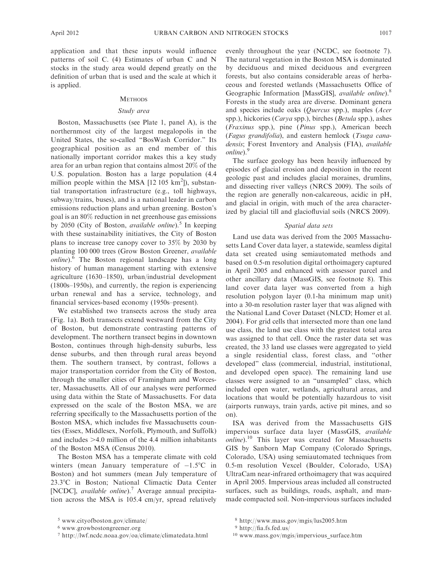application and that these inputs would influence patterns of soil C. (4) Estimates of urban C and N stocks in the study area would depend greatly on the definition of urban that is used and the scale at which it is applied.

# **METHODS**

# Study area

Boston, Massachusetts (see Plate 1, panel A), is the northernmost city of the largest megalopolis in the United States, the so-called ''BosWash Corridor.'' Its geographical position as an end member of this nationally important corridor makes this a key study area for an urban region that contains almost 20% of the U.S. population. Boston has a large population (4.4 million people within the MSA [12 105 km<sup>2</sup>]), substantial transportation infrastructure (e.g., toll highways, subway/trains, buses), and is a national leader in carbon emissions reduction plans and urban greening. Boston's goal is an 80% reduction in net greenhouse gas emissions by 2050 (City of Boston, *available online*).<sup>5</sup> In keeping with these sustainability initiatives, the City of Boston plans to increase tree canopy cover to 35% by 2030 by planting 100 000 trees (Grow Boston Greener, available  $online$ ).<sup>6</sup> The Boston regional landscape has a long history of human management starting with extensive agriculture (1630–1850), urban/industrial development (1800s–1950s), and currently, the region is experiencing urban renewal and has a service, technology, and financial services-based economy (1950s–present).

We established two transects across the study area (Fig. 1a). Both transects extend westward from the City of Boston, but demonstrate contrasting patterns of development. The northern transect begins in downtown Boston, continues through high-density suburbs, less dense suburbs, and then through rural areas beyond them. The southern transect, by contrast, follows a major transportation corridor from the City of Boston, through the smaller cities of Framingham and Worcester, Massachusetts. All of our analyses were performed using data within the State of Massachusetts. For data expressed on the scale of the Boston MSA, we are referring specifically to the Massachusetts portion of the Boston MSA, which includes five Massachusetts counties (Essex, Middlesex, Norfolk, Plymouth, and Suffolk) and includes  $>4.0$  million of the 4.4 million inhabitants of the Boston MSA (Census 2010).

The Boston MSA has a temperate climate with cold winters (mean January temperature of  $-1.5^{\circ}\text{C}$  in Boston) and hot summers (mean July temperature of 23.3°C in Boston; National Climactic Data Center [NCDC], *available online*).<sup>7</sup> Average annual precipitation across the MSA is 105.4 cm/yr, spread relatively evenly throughout the year (NCDC, see footnote 7). The natural vegetation in the Boston MSA is dominated by deciduous and mixed deciduous and evergreen forests, but also contains considerable areas of herbaceous and forested wetlands (Massachusetts Office of Geographic Information [MassGIS], *available online*).<sup>8</sup> Forests in the study area are diverse. Dominant genera and species include oaks (Quercus spp.), maples (Acer spp.), hickories (Carya spp.), birches (Betula spp.), ashes (Fraxinus spp.), pine (Pinus spp.), American beech (Fagus grandifolia), and eastern hemlock (Tsuga canadensis; Forest Inventory and Analysis (FIA), available online).<sup>9</sup>

The surface geology has been heavily influenced by episodes of glacial erosion and deposition in the recent geologic past and includes glacial moraines, drumlins, and dissecting river valleys (NRCS 2009). The soils of the region are generally non-calcareous, acidic in pH, and glacial in origin, with much of the area characterized by glacial till and glaciofluvial soils (NRCS 2009).

## Spatial data sets

Land use data was derived from the 2005 Massachusetts Land Cover data layer, a statewide, seamless digital data set created using semiautomated methods and based on 0.5-m resolution digital orthoimagery captured in April 2005 and enhanced with assessor parcel and other ancillary data (MassGIS, see footnote 8). This land cover data layer was converted from a high resolution polygon layer (0.1-ha minimum map unit) into a 30-m resolution raster layer that was aligned with the National Land Cover Dataset (NLCD; Homer et al. 2004). For grid cells that intersected more than one land use class, the land use class with the greatest total area was assigned to that cell. Once the raster data set was created, the 33 land use classes were aggregated to yield a single residential class, forest class, and ''other developed'' class (commercial, industrial, institutional, and developed open space). The remaining land use classes were assigned to an ''unsampled'' class, which included open water, wetlands, agricultural areas, and locations that would be potentially hazardous to visit (airports runways, train yards, active pit mines, and so on).

ISA was derived from the Massachusetts GIS impervious surface data layer (MassGIS, available online).<sup>10</sup> This layer was created for Massachusetts GIS by Sanborn Map Company (Colorado Springs, Colorado, USA) using semiautomated techniques from 0.5-m resolution Vexcel (Boulder, Colorado, USA) UltraCam near-infrared orthoimagery that was acquired in April 2005. Impervious areas included all constructed surfaces, such as buildings, roads, asphalt, and manmade compacted soil. Non-impervious surfaces included

<sup>5</sup> www.cityofboston.gov/climate/

<sup>6</sup> www.growbostongreener.org

<sup>7</sup> http://lwf.ncdc.noaa.gov/oa/climate/climatedata.html

<sup>8</sup> http://www.mass.gov/mgis/lus2005.htm

<sup>9</sup> http://fia.fs.fed.us/

<sup>10</sup> www.mass.gov/mgis/impervious\_surface.htm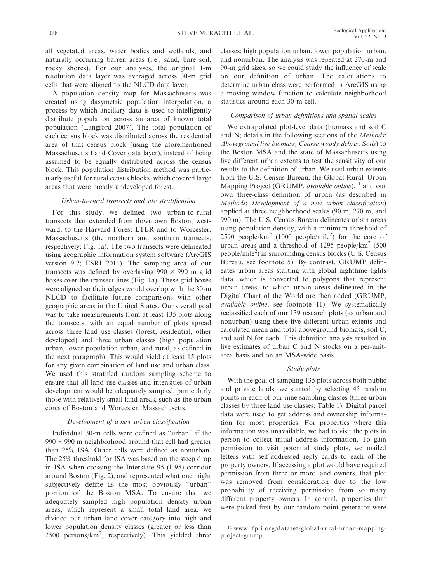all vegetated areas, water bodies and wetlands, and naturally occurring barren areas (i.e., sand, bare soil, rocky shores). For our analyses, the original 1-m resolution data layer was averaged across 30-m grid cells that were aligned to the NLCD data layer.

A population density map for Massachusetts was created using dasymetric population interpolation, a process by which ancillary data is used to intelligently distribute population across an area of known total population (Langford 2007). The total population of each census block was distributed across the residential area of that census block (using the aforementioned Massachusetts Land Cover data layer), instead of being assumed to be equally distributed across the census block. This population distribution method was particularly useful for rural census blocks, which covered large areas that were mostly undeveloped forest.

## Urban-to-rural transects and site stratification

For this study, we defined two urban-to-rural transects that extended from downtown Boston, westward, to the Harvard Forest LTER and to Worcester, Massachusetts (the northern and southern transects, respectively; Fig. 1a). The two transects were delineated using geographic information system software (ArcGIS version 9.2; ESRI 2011). The sampling area of our transects was defined by overlaying  $990 \times 990$  m grid boxes over the transect lines (Fig. 1a). These grid boxes were aligned so their edges would overlap with the 30-m NLCD to facilitate future comparisons with other geographic areas in the United States. Our overall goal was to take measurements from at least 135 plots along the transects, with an equal number of plots spread across three land use classes (forest, residential, other developed) and three urban classes (high population urban, lower population urban, and rural, as defined in the next paragraph). This would yield at least 15 plots for any given combination of land use and urban class. We used this stratified random sampling scheme to ensure that all land use classes and intensities of urban development would be adequately sampled, particularly those with relatively small land areas, such as the urban cores of Boston and Worcester, Massachusetts.

# Development of a new urban classification

Individual 30-m cells were defined as ''urban'' if the  $990 \times 990$  m neighborhood around that cell had greater than 25% ISA. Other cells were defined as nonurban. The 25% threshold for ISA was based on the steep drop in ISA when crossing the Interstate 95 (I-95) corridor around Boston (Fig. 2), and represented what one might subjectively define as the most obviously ''urban'' portion of the Boston MSA. To ensure that we adequately sampled high population density urban areas, which represent a small total land area, we divided our urban land cover category into high and lower population density classes (greater or less than 2500 persons/km<sup>2</sup>, respectively). This yielded three classes: high population urban, lower population urban, and nonurban. The analysis was repeated at 270-m and 90-m grid sizes, so we could study the influence of scale on our definition of urban. The calculations to determine urban class were performed in ArcGIS using a moving window function to calculate neighborhood statistics around each 30-m cell.

## Comparison of urban definitions and spatial scales

We extrapolated plot-level data (biomass and soil C and N; details in the following sections of the Methods: Aboveground live biomass, Coarse woody debris, Soils) to the Boston MSA and the state of Massachusetts using five different urban extents to test the sensitivity of our results to the definition of urban. We used urban extents from the U.S. Census Bureau, the Global Rural–Urban Mapping Project (GRUMP, *available online*), <sup>11</sup> and our own three-class definition of urban (as described in Methods: Development of a new urban classification) applied at three neighborhood scales (90 m, 270 m, and 990 m). The U.S. Census Bureau delineates urban areas using population density, with a minimum threshold of 2590 people/ $km^2$  (1000 people/mile<sup>2</sup>) for the core of urban areas and a threshold of 1295 people/ $km^2$  (500 people/mile<sup>2</sup>) in surrounding census blocks (U.S. Census Bureau, see footnote 5). By contrast, GRUMP delineates urban areas starting with global nighttime lights data, which is converted to polygons that represent urban areas, to which urban areas delineated in the Digital Chart of the World are then added (GRUMP, available online, see footnote 11). We systematically reclassified each of our 139 research plots (as urban and nonurban) using these five different urban extents and calculated mean and total aboveground biomass, soil C, and soil N for each. This definition analysis resulted in five estimates of urban C and N stocks on a per-unitarea basis and on an MSA-wide basis.

#### Study plots

With the goal of sampling 135 plots across both public and private lands, we started by selecting 45 random points in each of our nine sampling classes (three urban classes by three land use classes; Table 1). Digital parcel data were used to get address and ownership information for most properties. For properties where this information was unavailable, we had to visit the plots in person to collect initial address information. To gain permission to visit potential study plots, we mailed letters with self-addressed reply cards to each of the property owners. If accessing a plot would have required permission from three or more land owners, that plot was removed from consideration due to the low probability of receiving permission from so many different property owners. In general, properties that were picked first by our random point generator were

<sup>11</sup> www.ifpri.org/dataset/global-rural-urban-mappingproject-grump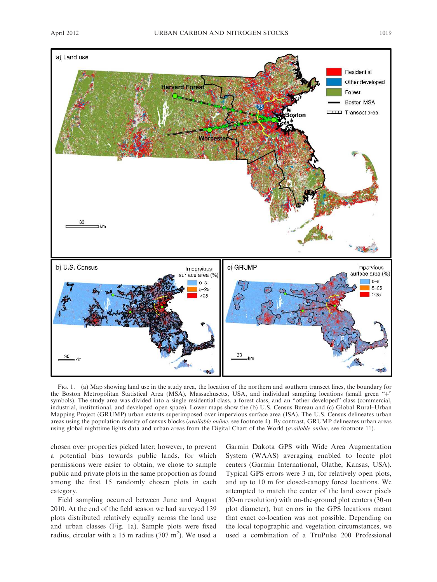

FIG. 1. (a) Map showing land use in the study area, the location of the northern and southern transect lines, the boundary for the Boston Metropolitan Statistical Area (MSA), Massachusetts, USA, and individual sampling locations (small green "+ symbols). The study area was divided into a single residential class, a forest class, and an ''other developed'' class (commercial, industrial, institutional, and developed open space). Lower maps show the (b) U.S. Census Bureau and (c) Global Rural–Urban Mapping Project (GRUMP) urban extents superimposed over impervious surface area (ISA). The U.S. Census delineates urban areas using the population density of census blocks *(available online*, see footnote 4). By contrast, GRUMP delineates urban areas using global nighttime lights data and urban areas from the Digital Chart of the World (available online, see footnote 11).

chosen over properties picked later; however, to prevent a potential bias towards public lands, for which permissions were easier to obtain, we chose to sample public and private plots in the same proportion as found among the first 15 randomly chosen plots in each category.

Field sampling occurred between June and August 2010. At the end of the field season we had surveyed 139 plots distributed relatively equally across the land use and urban classes (Fig. 1a). Sample plots were fixed radius, circular with a 15 m radius  $(707 \text{ m}^2)$ . We used a

Garmin Dakota GPS with Wide Area Augmentation System (WAAS) averaging enabled to locate plot centers (Garmin International, Olathe, Kansas, USA). Typical GPS errors were 3 m, for relatively open plots, and up to 10 m for closed-canopy forest locations. We attempted to match the center of the land cover pixels (30-m resolution) with on-the-ground plot centers (30-m plot diameter), but errors in the GPS locations meant that exact co-location was not possible. Depending on the local topographic and vegetation circumstances, we used a combination of a TruPulse 200 Professional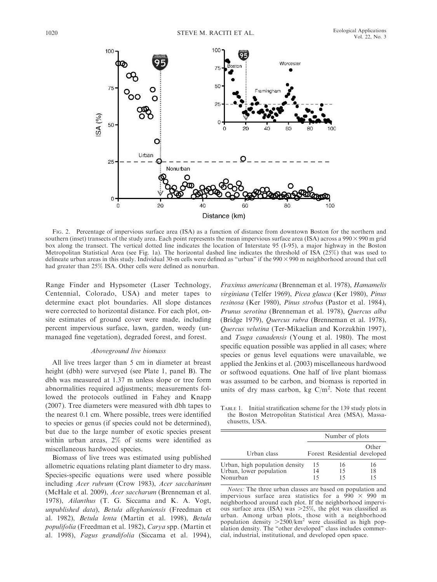

FIG. 2. Percentage of impervious surface area (ISA) as a function of distance from downtown Boston for the northern and southern (inset) transects of the study area. Each point represents the mean impervious surface area (ISA) across a  $990 \times 990$  m grid box along the transect. The vertical dotted line indicates the location of Interstate 95 (I-95), a major highway in the Boston Metropolitan Statistical Area (see Fig. 1a). The horizontal dashed line indicates the threshold of ISA  $(25\%)$  that was used to delineate urban areas in this study. Individual 30-m cells were defined as "urban" if the  $990 \times 990$  m neighborhood around that cell had greater than 25% ISA. Other cells were defined as nonurban.

Range Finder and Hypsometer (Laser Technology, Centennial, Colorado, USA) and meter tapes to determine exact plot boundaries. All slope distances were corrected to horizontal distance. For each plot, onsite estimates of ground cover were made, including percent impervious surface, lawn, garden, weedy (unmanaged fine vegetation), degraded forest, and forest.

# Aboveground live biomass

All live trees larger than 5 cm in diameter at breast height (dbh) were surveyed (see Plate 1, panel B). The dbh was measured at 1.37 m unless slope or tree form abnormalities required adjustments; measurements followed the protocols outlined in Fahey and Knapp (2007). Tree diameters were measured with dbh tapes to the nearest 0.1 cm. Where possible, trees were identified to species or genus (if species could not be determined), but due to the large number of exotic species present within urban areas, 2% of stems were identified as miscellaneous hardwood species.

Biomass of live trees was estimated using published allometric equations relating plant diameter to dry mass. Species-specific equations were used where possible including Acer rubrum (Crow 1983), Acer saccharinum (McHale et al. 2009), Acer saccharum (Brenneman et al. 1978), Ailanthus (T. G. Siccama and K. A. Vogt, unpublished data), Betula alleghaniensis (Freedman et al. 1982), Betula lenta (Martin et al. 1998), Betula populifolia (Freedman et al. 1982), Carya spp. (Martin et al. 1998), Fagus grandifolia (Siccama et al. 1994), Fraxinus americana (Brenneman et al. 1978), Hamamelis virginiana (Telfer 1969), Picea glauca (Ker 1980), Pinus resinosa (Ker 1980), Pinus strobus (Pastor et al. 1984), Prunus serotina (Brenneman et al. 1978), Quercus alba (Bridge 1979), Quercus rubra (Brenneman et al. 1978), Quercus velutina (Ter-Mikaelian and Korzukhin 1997), and Tsuga canadensis (Young et al. 1980). The most specific equation possible was applied in all cases; where species or genus level equations were unavailable, we applied the Jenkins et al. (2003) miscellaneous hardwood or softwood equations. One half of live plant biomass was assumed to be carbon, and biomass is reported in units of dry mass carbon, kg  $C/m^2$ . Note that recent

TABLE 1. Initial stratification scheme for the 139 study plots in the Boston Metropolitan Statistical Area (MSA), Massachusetts, USA.

|                                | Number of plots |                              |       |
|--------------------------------|-----------------|------------------------------|-------|
| Urban class                    |                 | Forest Residential developed | Other |
| Urban, high population density | 15              | 16                           | 16    |
| Urban, lower population        | 14              | 15                           | 18    |
| Nonurban                       |                 |                              |       |

Notes: The three urban classes are based on population and impervious surface area statistics for a 990  $\times$  990 m neighborhood around each plot. If the neighborhood impervious surface area (ISA) was  $>25\%$ , the plot was classified as urban. Among urban plots, those with a neighborhood population density  $>2500/km^2$  were classified as high population density. The ''other developed'' class includes commercial, industrial, institutional, and developed open space.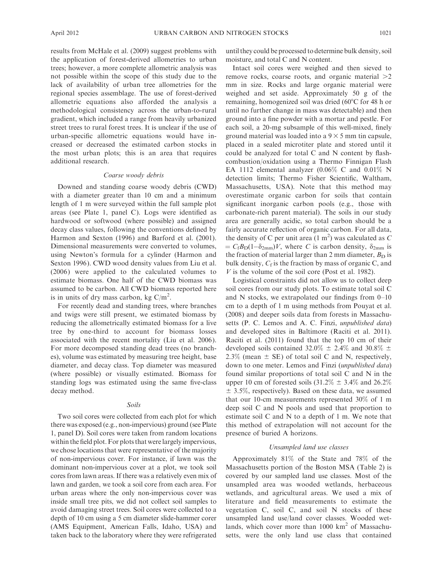results from McHale et al. (2009) suggest problems with the application of forest-derived allometries to urban trees; however, a more complete allometric analysis was not possible within the scope of this study due to the lack of availability of urban tree allometries for the regional species assemblage. The use of forest-derived allometric equations also afforded the analysis a methodological consistency across the urban-to-rural gradient, which included a range from heavily urbanized street trees to rural forest trees. It is unclear if the use of urban-specific allometric equations would have increased or decreased the estimated carbon stocks in the most urban plots; this is an area that requires additional research.

#### Coarse woody debris

Downed and standing coarse woody debris (CWD) with a diameter greater than 10 cm and a minimum length of 1 m were surveyed within the full sample plot areas (see Plate 1, panel C). Logs were identified as hardwood or softwood (where possible) and assigned decay class values, following the conventions defined by Harmon and Sexton (1996) and Barford et al. (2001). Dimensional measurements were converted to volumes, using Newton's formula for a cylinder (Harmon and Sexton 1996). CWD wood density values from Liu et al. (2006) were applied to the calculated volumes to estimate biomass. One half of the CWD biomass was assumed to be carbon. All CWD biomass reported here is in units of dry mass carbon, kg  $C/m^2$ .

For recently dead and standing trees, where branches and twigs were still present, we estimated biomass by reducing the allometrically estimated biomass for a live tree by one-third to account for biomass losses associated with the recent mortality (Liu et al. 2006). For more decomposed standing dead trees (no branches), volume was estimated by measuring tree height, base diameter, and decay class. Top diameter was measured (where possible) or visually estimated. Biomass for standing logs was estimated using the same five-class decay method.

#### Soils

Two soil cores were collected from each plot for which there was exposed (e.g., non-impervious) ground (see Plate 1, panel D). Soil cores were taken from random locations within the field plot. For plots that were largely impervious, we chose locations that were representative of the majority of non-impervious cover. For instance, if lawn was the dominant non-impervious cover at a plot, we took soil cores from lawn areas. If there was a relatively even mix of lawn and garden, we took a soil core from each area. For urban areas where the only non-impervious cover was inside small tree pits, we did not collect soil samples to avoid damaging street trees. Soil cores were collected to a depth of 10 cm using a 5 cm diameter slide-hammer corer (AMS Equipment, American Falls, Idaho, USA) and taken back to the laboratory where they were refrigerated

until they could be processed to determine bulk density, soil moisture, and total C and N content.

Intact soil cores were weighed and then sieved to remove rocks, coarse roots, and organic material  $\geq 2$ mm in size. Rocks and large organic material were weighed and set aside. Approximately 50 g of the remaining, homogenized soil was dried ( $60^{\circ}$ C for 48 h or until no further change in mass was detectable) and then ground into a fine powder with a mortar and pestle. For each soil, a 20-mg subsample of this well-mixed, finely ground material was loaded into a  $9 \times 5$  mm tin capsule, placed in a sealed microtiter plate and stored until it could be analyzed for total C and N content by flashcombustion/oxidation using a Thermo Finnigan Flash EA 1112 elemental analyzer  $(0.06\% \text{ C and } 0.01\% \text{ N})$ detection limits; Thermo Fisher Scientific, Waltham, Massachusetts, USA). Note that this method may overestimate organic carbon for soils that contain significant inorganic carbon pools (e.g., those with carbonate-rich parent material). The soils in our study area are generally acidic, so total carbon should be a fairly accurate reflection of organic carbon. For all data, the density of C per unit area  $(1 \text{ m}^2)$  was calculated as C  $=C_fB_D(1-\delta_{2mm})V$ , where C is carbon density,  $\delta_{2mm}$  is the fraction of material larger than 2 mm diameter,  $B_D$  is bulk density,  $C_f$  is the fraction by mass of organic C, and  $V$  is the volume of the soil core (Post et al. 1982).

Logistical constraints did not allow us to collect deep soil cores from our study plots. To estimate total soil C and N stocks, we extrapolated our findings from 0–10 cm to a depth of 1 m using methods from Pouyat et al. (2008) and deeper soils data from forests in Massachusetts (P. C. Lemos and A. C. Finzi, unpublished data) and developed sites in Baltimore (Raciti et al. 2011). Raciti et al. (2011) found that the top 10 cm of their developed soils contained 32.0%  $\pm$  2.4% and 30.8%  $\pm$ 2.3% (mean  $\pm$  SE) of total soil C and N, respectively, down to one meter. Lemos and Finzi (unpublished data) found similar proportions of total soil C and N in the upper 10 cm of forested soils  $(31.2\% \pm 3.4\%$  and 26.2%  $\pm$  3.5%, respectively). Based on these data, we assumed that our 10-cm measurements represented 30% of 1 m deep soil C and N pools and used that proportion to estimate soil C and N to a depth of 1 m. We note that this method of extrapolation will not account for the presence of buried A horizons.

## Unsampled land use classes

Approximately 81% of the State and 78% of the Massachusetts portion of the Boston MSA (Table 2) is covered by our sampled land use classes. Most of the unsampled area was wooded wetlands, herbaceous wetlands, and agricultural areas. We used a mix of literature and field measurements to estimate the vegetation C, soil C, and soil N stocks of these unsampled land use/land cover classes. Wooded wetlands, which cover more than  $1000 \text{ km}^2$  of Massachusetts, were the only land use class that contained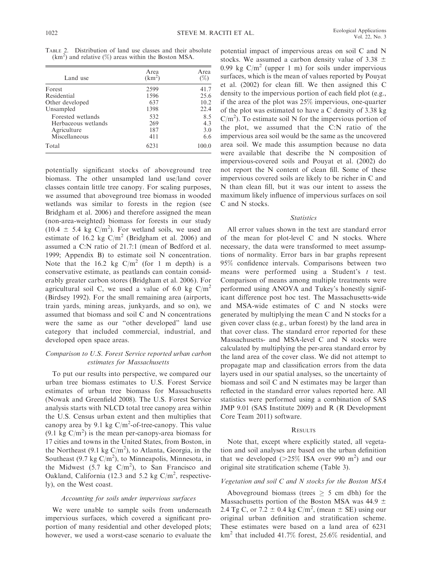| TABLE 2. Distribution of land use classes and their absolute |  |  |
|--------------------------------------------------------------|--|--|
| $(km2)$ and relative $(\%)$ areas within the Boston MSA.     |  |  |

| Land use            | Area<br>(km <sup>2</sup> ) | Area<br>$(\%)$ |
|---------------------|----------------------------|----------------|
| Forest              | 2599                       | 41.7           |
| Residential         | 1596                       | 25.6           |
| Other developed     | 637                        | 10.2           |
| Unsampled           | 1398                       | 22.4           |
| Forested wetlands   | 532                        | 8.5            |
| Herbaceous wetlands | 269                        | 4.3            |
| Agriculture         | 187                        | 3.0            |
| Miscellaneous       | 411                        | 6.6            |
| Total               | 6231                       | 100.0          |

potentially significant stocks of aboveground tree biomass. The other unsampled land use/land cover classes contain little tree canopy. For scaling purposes, we assumed that aboveground tree biomass in wooded wetlands was similar to forests in the region (see Bridgham et al. 2006) and therefore assigned the mean (non-area-weighted) biomass for forests in our study  $(10.4 \pm 5.4 \text{ kg C/m}^2)$ . For wetland soils, we used an estimate of 16.2 kg  $C/m^2$  (Bridgham et al. 2006) and assumed a C:N ratio of 21.7:1 (mean of Bedford et al. 1999; Appendix B) to estimate soil N concentration. Note that the 16.2 kg  $C/m^2$  (for 1 m depth) is a conservative estimate, as peatlands can contain considerably greater carbon stores (Bridgham et al. 2006). For agricultural soil C, we used a value of 6.0 kg  $C/m^2$ (Birdsey 1992). For the small remaining area (airports, train yards, mining areas, junkyards, and so on), we assumed that biomass and soil C and N concentrations were the same as our ''other developed'' land use category that included commercial, industrial, and developed open space areas.

# Comparison to U.S. Forest Service reported urban carbon estimates for Massachusetts

To put our results into perspective, we compared our urban tree biomass estimates to U.S. Forest Service estimates of urban tree biomass for Massachusetts (Nowak and Greenfield 2008). The U.S. Forest Service analysis starts with NLCD total tree canopy area within the U.S. Census urban extent and then multiplies that canopy area by 9.1 kg  $C/m^2$ -of-tree-canopy. This value  $(9.1 \text{ kg } C/m^2)$  is the mean per-canopy-area biomass for 17 cities and towns in the United States, from Boston, in the Northeast (9.1 kg  $C/m^2$ ), to Atlanta, Georgia, in the Southeast (9.7 kg  $C/m^2$ ), to Minneapolis, Minnesota, in the Midwest  $(5.7 \text{ kg } C/m^2)$ , to San Francisco and Oakland, California (12.3 and 5.2 kg  $C/m^2$ , respectively), on the West coast.

# Accounting for soils under impervious surfaces

We were unable to sample soils from underneath impervious surfaces, which covered a significant proportion of many residential and other developed plots; however, we used a worst-case scenario to evaluate the potential impact of impervious areas on soil C and N stocks. We assumed a carbon density value of 3.38  $\pm$ 0.99 kg  $C/m^2$  (upper 1 m) for soils under impervious surfaces, which is the mean of values reported by Pouyat et al. (2002) for clean fill. We then assigned this C density to the impervious portion of each field plot (e.g., if the area of the plot was 25% impervious, one-quarter of the plot was estimated to have a C density of 3.38 kg  $C/m<sup>2</sup>$ ). To estimate soil N for the impervious portion of the plot, we assumed that the C:N ratio of the impervious area soil would be the same as the uncovered area soil. We made this assumption because no data were available that describe the N composition of impervious-covered soils and Pouyat et al. (2002) do not report the N content of clean fill. Some of these impervious covered soils are likely to be richer in C and N than clean fill, but it was our intent to assess the maximum likely influence of impervious surfaces on soil C and N stocks.

# Statistics

All error values shown in the text are standard error of the mean for plot-level C and N stocks. Where necessary, the data were transformed to meet assumptions of normality. Error bars in bar graphs represent 95% confidence intervals. Comparisons between two means were performed using a Student's t test. Comparison of means among multiple treatments were performed using ANOVA and Tukey's honestly significant difference post hoc test. The Massachusetts-wide and MSA-wide estimates of C and N stocks were generated by multiplying the mean C and N stocks for a given cover class (e.g., urban forest) by the land area in that cover class. The standard error reported for these Massachusetts- and MSA-level C and N stocks were calculated by multiplying the per-area standard error by the land area of the cover class. We did not attempt to propagate map and classification errors from the data layers used in our spatial analyses, so the uncertainty of biomass and soil C and N estimates may be larger than reflected in the standard error values reported here. All statistics were performed using a combination of SAS JMP 9.01 (SAS Institute 2009) and R (R Development Core Team 2011) software.

#### **RESULTS**

Note that, except where explicitly stated, all vegetation and soil analyses are based on the urban definition that we developed  $(>25\%$  ISA over 990 m<sup>2</sup>) and our original site stratification scheme (Table 3).

# Vegetation and soil C and N stocks for the Boston MSA

Aboveground biomass (trees  $\geq$  5 cm dbh) for the Massachusetts portion of the Boston MSA was 44.9  $\pm$ 2.4 Tg C, or 7.2  $\pm$  0.4 kg C/m<sup>2</sup>, (mean  $\pm$  SE) using our original urban definition and stratification scheme. These estimates were based on a land area of 6231  $km<sup>2</sup>$  that included 41.7% forest, 25.6% residential, and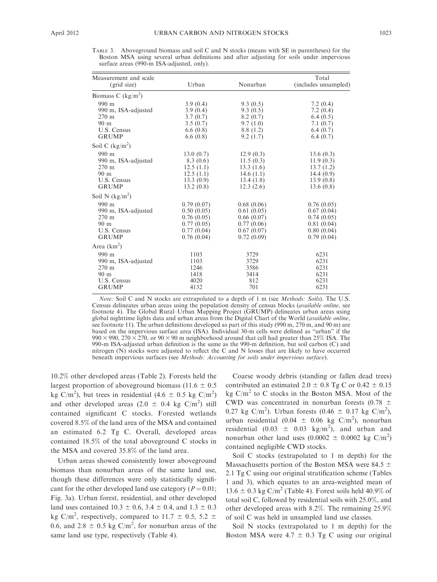| Measurement and scale<br>(grid size)                                                                                                                                                                                        | Urban                                                                                                                                                         | Nonurban                                                                                                                                                          | Total<br>(includes unsampled)                                                                                                                                  |
|-----------------------------------------------------------------------------------------------------------------------------------------------------------------------------------------------------------------------------|---------------------------------------------------------------------------------------------------------------------------------------------------------------|-------------------------------------------------------------------------------------------------------------------------------------------------------------------|----------------------------------------------------------------------------------------------------------------------------------------------------------------|
| Biomass C $(kg/m2)$                                                                                                                                                                                                         |                                                                                                                                                               |                                                                                                                                                                   |                                                                                                                                                                |
| $990 \text{ m}$<br>990 m, ISA-adjusted<br>$270 \text{ m}$<br>90 m<br>U.S. Census<br><b>GRUMP</b>                                                                                                                            | 3.9(0.4)<br>3.9(0.4)<br>3.7(0.7)<br>3.5(0.7)<br>6.6(0.8)<br>6.6(0.8)                                                                                          | 9.3(0.5)<br>9.3(0.5)<br>8.2(0.7)<br>9.7(1.0)<br>8.8(1.2)<br>9.2(1.7)                                                                                              | 7.2(0.4)<br>7.2(0.4)<br>6.4(0.5)<br>7.1(0.7)<br>6.4(0.7)<br>6.4(0.7)                                                                                           |
| Soil C $(kg/m2)$                                                                                                                                                                                                            |                                                                                                                                                               |                                                                                                                                                                   |                                                                                                                                                                |
| 990 m<br>990 m, ISA-adjusted<br>$270 \text{ m}$<br>90 <sub>m</sub><br>U.S. Census<br><b>GRUMP</b><br>Soil N $(kg/m^2)$<br>990 m<br>990 m, ISA-adjusted<br>$270 \text{ m}$<br>90 <sub>m</sub><br>U.S. Census<br><b>GRUMP</b> | 13.0(0.7)<br>8.3(0.6)<br>12.5(1.1)<br>12.5(1.1)<br>13.3(0.9)<br>13.2(0.8)<br>0.79(0.07)<br>0.50(0.05)<br>0.76(0.05)<br>0.77(0.05)<br>0.77(0.04)<br>0.76(0.04) | 12.9(0.3)<br>11.5(0.3)<br>13.3(1.6)<br>14.6 $(1.1)$<br>13.4(1.8)<br>12.3(2.6)<br>0.68(0.06)<br>0.61(0.05)<br>0.66(0.07)<br>0.77(0.06)<br>0.67(0.07)<br>0.72(0.09) | 13.6(0.3)<br>11.9(0.3)<br>13.7(1.2)<br>14.4(0.9)<br>13.9(0.8)<br>13.6(0.8)<br>0.76(0.05)<br>0.67(0.04)<br>0.74(0.05)<br>0.81(0.04)<br>0.80(0.04)<br>0.79(0.04) |
| Area $(km2)$                                                                                                                                                                                                                |                                                                                                                                                               |                                                                                                                                                                   |                                                                                                                                                                |
| 990 m<br>990 m, ISA-adjusted<br>$270 \text{ m}$<br>90 <sub>m</sub><br>U.S. Census<br><b>GRUMP</b>                                                                                                                           | 1103<br>1103<br>1246<br>1418<br>4020<br>4132                                                                                                                  | 3729<br>3729<br>3586<br>3414<br>812<br>701                                                                                                                        | 6231<br>6231<br>6231<br>6231<br>6231<br>6231                                                                                                                   |

TABLE 3. Aboveground biomass and soil C and N stocks (means with SE in parentheses) for the Boston MSA using several urban definitions and after adjusting for soils under impervious surface areas (990-m ISA-adjusted, only).

Note: Soil C and N stocks are extrapolated to a depth of 1 m (see Methods: Soils). The U.S. Census delineates urban areas using the population density of census blocks (available online, see footnote 4). The Global Rural–Urban Mapping Project (GRUMP) delineates urban areas using global nighttime lights data and urban areas from the Digital Chart of the World (available online, see footnote 11). The urban definitions developed as part of this study (990 m, 270 m, and 90 m) are based on the impervious surface area (ISA). Individual 30-m cells were defined as ''urban'' if the 990  $\times$  990, 270  $\times$  270, or 90  $\times$  90 m neighborhood around that cell had greater than 25% ISA. The 990-m ISA-adjusted urban definition is the same as the 990-m definition, but soil carbon (C) and nitrogen (N) stocks were adjusted to reflect the C and N losses that are likely to have occurred beneath impervious surfaces (see *Methods: Accounting for soils under impervious surface*).

10.2% other developed areas (Table 2). Forests held the largest proportion of aboveground biomass (11.6  $\pm$  0.5 kg C/m<sup>2</sup>), but trees in residential (4.6  $\pm$  0.5 kg C/m<sup>2</sup>) and other developed areas (2.0  $\pm$  0.4 kg C/m<sup>2</sup>) still contained significant C stocks. Forested wetlands covered 8.5% of the land area of the MSA and contained an estimated 6.2 Tg C. Overall, developed areas contained 18.5% of the total aboveground C stocks in the MSA and covered 35.8% of the land area.

Urban areas showed consistently lower aboveground biomass than nonurban areas of the same land use, though these differences were only statistically significant for the other developed land use category ( $P = 0.01$ ; Fig. 3a). Urban forest, residential, and other developed land uses contained 10.3  $\pm$  0.6, 3.4  $\pm$  0.4, and 1.3  $\pm$  0.3 kg C/m<sup>2</sup>, respectively, compared to 11.7  $\pm$  0.5, 5.2  $\pm$ 0.6, and 2.8  $\pm$  0.5 kg C/m<sup>2</sup>, for nonurban areas of the same land use type, respectively (Table 4).

Coarse woody debris (standing or fallen dead trees) contributed an estimated 2.0  $\pm$  0.8 Tg C or 0.42  $\pm$  0.15 kg  $C/m^2$  to C stocks in the Boston MSA. Most of the CWD was concentrated in nonurban forests (0.78  $\pm$ 0.27 kg C/m<sup>2</sup>). Urban forests (0.46  $\pm$  0.17 kg C/m<sup>2</sup>), urban residential (0.04  $\pm$  0.06 kg C/m<sup>2</sup>), nonurban residential  $(0.03 \pm 0.03 \text{ kg/m}^2)$ , and urban and nonurban other land uses  $(0.0002 \pm 0.0002 \text{ kg C/m}^2)$ contained negligible CWD stocks.

Soil C stocks (extrapolated to 1 m depth) for the Massachusetts portion of the Boston MSA were 84.5  $\pm$ 2.1 Tg C using our original stratification scheme (Tables 1 and 3), which equates to an area-weighted mean of  $13.6 \pm 0.3$  kg C/m<sup>2</sup> (Table 4). Forest soils held 40.9% of total soil C, followed by residential soils with 25.0%, and other developed areas with 8.2%. The remaining 25.9% of soil C was held in unsampled land use classes.

Soil N stocks (extrapolated to 1 m depth) for the Boston MSA were  $4.7 \pm 0.3$  Tg C using our original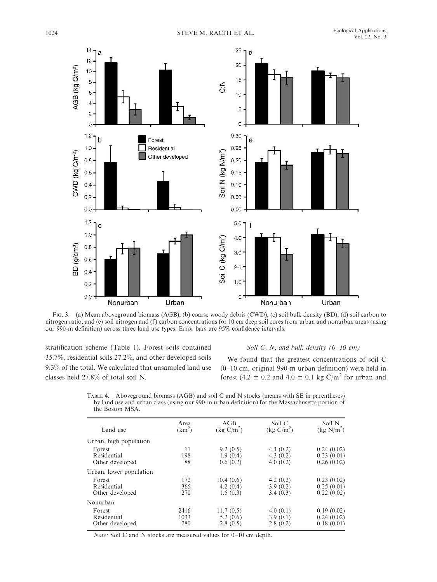

FIG. 3. (a) Mean aboveground biomass (AGB), (b) coarse woody debris (CWD), (c) soil bulk density (BD), (d) soil carbon to nitrogen ratio, and (e) soil nitrogen and (f) carbon concentrations for 10 cm deep soil cores from urban and nonurban areas (using our 990-m definition) across three land use types. Error bars are 95% confidence intervals.

stratification scheme (Table 1). Forest soils contained 35.7%, residential soils 27.2%, and other developed soils 9.3% of the total. We calculated that unsampled land use classes held 27.8% of total soil N.

# Soil C, N, and bulk density  $(0-10 \text{ cm})$

We found that the greatest concentrations of soil C (0–10 cm, original 990-m urban definition) were held in forest (4.2  $\pm$  0.2 and 4.0  $\pm$  0.1 kg C/m<sup>2</sup> for urban and

by land use and urban class (using our 990-m urban definition) for the Massachusetts portion of the Boston MSA. Land use Area<br>(km<sup>2</sup>) AGB<br>(kg  $C/m^2$ ) Soil C<br>(kg  $C/m^2$ ) Soil N  $(kg N/m<sup>2</sup>)$ )

TABLE 4. Aboveground biomass (AGB) and soil C and N stocks (means with SE in parentheses)

| Land use                | Km <sup>-</sup> ) | $\left(\text{kg U/m}\right)$ | $\text{Kg C/m}$ ) | $\left(\text{kg} \space \text{N} \text{/m} \right)$ |
|-------------------------|-------------------|------------------------------|-------------------|-----------------------------------------------------|
| Urban, high population  |                   |                              |                   |                                                     |
| Forest                  | 11                | 9.2(0.5)                     | 4.4(0.2)          | 0.24(0.02)                                          |
| Residential             | 198               | 1.9(0.4)                     | 4.3(0.2)          | 0.23(0.01)                                          |
| Other developed         | 88                | 0.6(0.2)                     | 4.0(0.2)          | 0.26(0.02)                                          |
| Urban, lower population |                   |                              |                   |                                                     |
| Forest                  | 172               | 10.4(0.6)                    | 4.2(0.2)          | 0.23(0.02)                                          |
| Residential             | 365               | 4.2(0.4)                     | 3.9(0.2)          | 0.25(0.01)                                          |
| Other developed         | 270               | 1.5(0.3)                     | 3.4(0.3)          | 0.22(0.02)                                          |
| Nonurban                |                   |                              |                   |                                                     |
| Forest                  | 2416              | 11.7(0.5)                    | 4.0(0.1)          | 0.19(0.02)                                          |
| Residential             | 1033              | 5.2(0.6)                     | 3.9(0.1)          | 0.24(0.02)                                          |
| Other developed         | 280               | 2.8(0.5)                     | 2.8(0.2)          | 0.18(0.01)                                          |
|                         |                   |                              |                   |                                                     |

Note: Soil C and N stocks are measured values for 0–10 cm depth.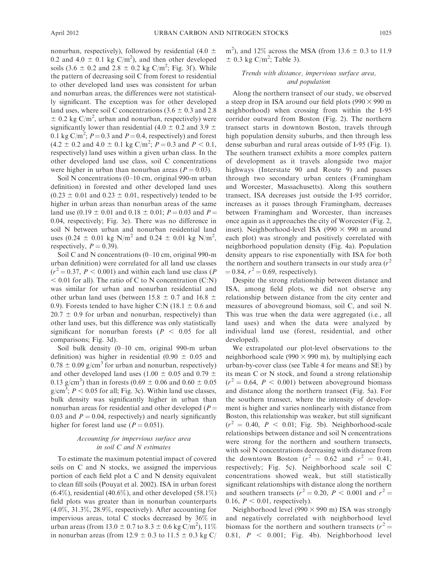nonurban, respectively), followed by residential (4.0  $\pm$ 0.2 and 4.0  $\pm$  0.1 kg C/m<sup>2</sup>), and then other developed soils  $(3.6 \pm 0.2 \text{ and } 2.8 \pm 0.2 \text{ kg C/m}^2; \text{Fig. 3f})$ . While the pattern of decreasing soil C from forest to residential to other developed land uses was consistent for urban and nonurban areas, the differences were not statistically significant. The exception was for other developed land uses, where soil C concentrations  $(3.6 \pm 0.3 \text{ and } 2.8)$  $\pm$  0.2 kg C/m<sup>2</sup>, urban and nonurban, respectively) were significantly lower than residential (4.0  $\pm$  0.2 and 3.9  $\pm$ 0.1 kg C/m<sup>2</sup>;  $P = 0.3$  and  $P = 0.4$ , respectively) and forest  $(4.2 \pm 0.2 \text{ and } 4.0 \pm 0.1 \text{ kg C/m}^2; P = 0.3 \text{ and } P < 0.1,$ respectively) land uses within a given urban class. In the other developed land use class, soil C concentrations were higher in urban than nonurban areas ( $P = 0.03$ ).

Soil N concentrations (0–10 cm, original 990-m urban definition) in forested and other developed land uses  $(0.23 \pm 0.01$  and  $(0.23 \pm 0.01)$ , respectively) tended to be higher in urban areas than nonurban areas of the same land use (0.19  $\pm$  0.01 and 0.18  $\pm$  0.01; P = 0.03 and P = 0.04, respectively; Fig. 3e). There was no difference in soil N between urban and nonurban residential land uses (0.24  $\pm$  0.01 kg N/m<sup>2</sup> and 0.24  $\pm$  0.01 kg N/m<sup>2</sup>, respectively,  $P = 0.39$ .

Soil C and N concentrations (0–10 cm, original 990-m urban definition) were correlated for all land use classes  $(r^2 = 0.37, P < 0.001)$  and within each land use class (P)  $< 0.01$  for all). The ratio of C to N concentration (C:N) was similar for urban and nonurban residential and other urban land uses (between 15.8  $\pm$  0.7 and 16.8  $\pm$ 0.9). Forests tended to have higher C:N (18.1  $\pm$  0.6 and  $20.7 \pm 0.9$  for urban and nonurban, respectively) than other land uses, but this difference was only statistically significant for nonurban forests ( $P < 0.05$  for all comparisons; Fig. 3d).

Soil bulk density (0–10 cm, original 990-m urban definition) was higher in residential (0.90  $\pm$  0.05 and  $0.78 \pm 0.09$  g/cm<sup>3</sup> for urban and nonurban, respectively) and other developed land uses (1.00  $\pm$  0.05 and 0.79  $\pm$ 0.13 g/cm<sup>3</sup>) than in forests (0.69  $\pm$  0.06 and 0.60  $\pm$  0.05  $g/cm^3$ ;  $P < 0.05$  for all; Fig. 3c). Within land use classes, bulk density was significantly higher in urban than nonurban areas for residential and other developed ( $P =$ 0.03 and  $P = 0.04$ , respectively) and nearly significantly higher for forest land use  $(P = 0.051)$ .

# Accounting for impervious surface area in soil C and N estimates

To estimate the maximum potential impact of covered soils on C and N stocks, we assigned the impervious portion of each field plot a C and N density equivalent to clean fill soils (Pouyat et al. 2002). ISA in urban forest  $(6.4\%)$ , residential  $(40.6\%)$ , and other developed  $(58.1\%)$ field plots was greater than in nonurban counterparts (4.0%, 31.3%, 28.9%, respectively). After accounting for impervious areas, total C stocks decreased by 36% in urban areas (from 13.0  $\pm$  0.7 to 8.3  $\pm$  0.6 kg C/m<sup>2</sup>), 11% in nonurban areas (from 12.9  $\pm$  0.3 to 11.5  $\pm$  0.3 kg C/

m<sup>2</sup>), and 12% across the MSA (from 13.6  $\pm$  0.3 to 11.9  $\pm$  0.3 kg C/m<sup>2</sup>; Table 3).

# Trends with distance, impervious surface area, and population

Along the northern transect of our study, we observed a steep drop in ISA around our field plots  $(990 \times 990 \text{ m})$ neighborhood) when crossing from within the I-95 corridor outward from Boston (Fig. 2). The northern transect starts in downtown Boston, travels through high population density suburbs, and then through less dense suburban and rural areas outside of I-95 (Fig. 1). The southern transect exhibits a more complex pattern of development as it travels alongside two major highways (Interstate 90 and Route 9) and passes through two secondary urban centers (Framingham and Worcester, Massachusetts). Along this southern transect, ISA decreases just outside the I-95 corridor, increases as it passes through Framingham, decreases between Framingham and Worcester, than increases once again as it approaches the city of Worcester (Fig. 2, inset). Neighborhood-level ISA (990  $\times$  990 m around each plot) was strongly and positively correlated with neighborhood population density (Fig. 4a). Population density appears to rise exponentially with ISA for both the northern and southern transects in our study area  $(r^2)$  $= 0.84, r^2 = 0.69$ , respectively).

Despite the strong relationship between distance and ISA, among field plots, we did not observe any relationship between distance from the city center and measures of aboveground biomass, soil C, and soil N. This was true when the data were aggregated (i.e., all land uses) and when the data were analyzed by individual land use (forest, residential, and other developed).

We extrapolated our plot-level observations to the neighborhood scale (990  $\times$  990 m), by multiplying each urban-by-cover class (see Table 4 for means and SE) by its mean C or N stock, and found a strong relationship  $(r^2 = 0.64, P < 0.001)$  between aboveground biomass and distance along the northern transect (Fig. 5a). For the southern transect, where the intensity of development is higher and varies nonlinearly with distance from Boston, this relationship was weaker, but still significant  $(r^2 = 0.40, P < 0.01$ ; Fig. 5b). Neighborhood-scale relationships between distance and soil N concentrations were strong for the northern and southern transects, with soil N concentrations decreasing with distance from the downtown Boston  $(r^2 = 0.62$  and  $r^2 = 0.41$ , respectively; Fig. 5c). Neighborhood scale soil C concentrations showed weak, but still statistically significant relationships with distance along the northern and southern transects ( $r^2 = 0.20$ ,  $P < 0.001$  and  $r^2 =$ 0.16,  $P < 0.01$ , respectively).

Neighborhood level (990  $\times$  990 m) ISA was strongly and negatively correlated with neighborhood level biomass for the northern and southern transects ( $r^2$  = 0.81,  $P \le 0.001$ ; Fig. 4b). Neighborhood level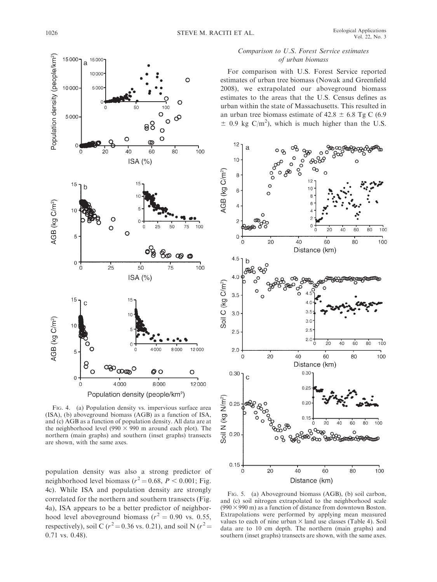

FIG. 4. (a) Population density vs. impervious surface area (ISA), (b) aboveground biomass (AGB) as a function of ISA, and (c) AGB as a function of population density. All data are at the neighborhood level (990  $\times$  990 m around each plot). The northern (main graphs) and southern (inset graphs) transects are shown, with the same axes.

population density was also a strong predictor of neighborhood level biomass ( $r^2 = 0.68$ ,  $P < 0.001$ ; Fig. 4c). While ISA and population density are strongly correlated for the northern and southern transects (Fig. 4a), ISA appears to be a better predictor of neighborhood level aboveground biomass ( $r^2 = 0.90$  vs. 0.55, respectively), soil C ( $r^2$  = 0.36 vs. 0.21), and soil N ( $r^2$  = 0.71 vs. 0.48).

# Comparison to U.S. Forest Service estimates of urban biomass

For comparison with U.S. Forest Service reported estimates of urban tree biomass (Nowak and Greenfield 2008), we extrapolated our aboveground biomass estimates to the areas that the U.S. Census defines as urban within the state of Massachusetts. This resulted in an urban tree biomass estimate of  $42.8 \pm 6.8$  Tg C (6.9)  $\pm$  0.9 kg C/m<sup>2</sup>), which is much higher than the U.S.



FIG. 5. (a) Aboveground biomass (AGB), (b) soil carbon, and (c) soil nitrogen extrapolated to the neighborhood scale  $(990 \times 990 \text{ m})$  as a function of distance from downtown Boston. Extrapolations were performed by applying mean measured values to each of nine urban  $\times$  land use classes (Table 4). Soil data are to 10 cm depth. The northern (main graphs) and southern (inset graphs) transects are shown, with the same axes.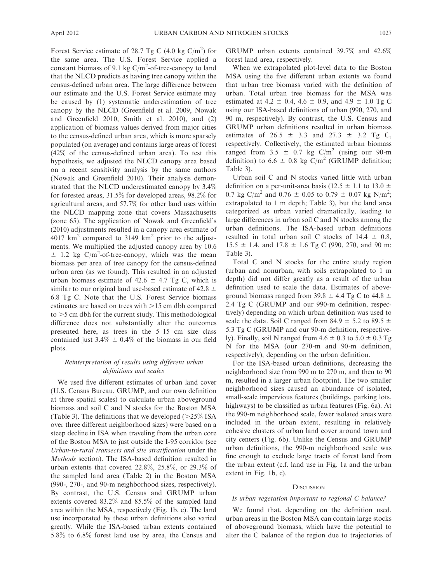Forest Service estimate of 28.7 Tg C  $(4.0 \text{ kg C/m}^2)$  for the same area. The U.S. Forest Service applied a constant biomass of 9.1 kg  $C/m^2$ -of-tree-canopy to land that the NLCD predicts as having tree canopy within the census-defined urban area. The large difference between our estimate and the U.S. Forest Service estimate may be caused by (1) systematic underestimation of tree canopy by the NLCD (Greenfield et al. 2009, Nowak and Greenfield 2010, Smith et al. 2010), and (2) application of biomass values derived from major cities to the census-defined urban area, which is more sparsely populated (on average) and contains large areas of forest (42% of the census-defined urban area). To test this hypothesis, we adjusted the NLCD canopy area based on a recent sensitivity analysis by the same authors (Nowak and Greenfield 2010). Their analysis demonstrated that the NLCD underestimated canopy by 3.4% for forested areas, 31.5% for developed areas, 98.2% for agricultural areas, and 57.7% for other land uses within the NLCD mapping zone that covers Massachusetts (zone 65). The application of Nowak and Greenfield's (2010) adjustments resulted in a canopy area estimate of  $4017 \text{ km}^2$  compared to 3149 km<sup>2</sup> prior to the adjustments. We multiplied the adjusted canopy area by 10.6  $\pm$  1.2 kg C/m<sup>2</sup>-of-tree-canopy, which was the mean biomass per area of tree canopy for the census-defined urban area (as we found). This resulted in an adjusted urban biomass estimate of  $42.6 \pm 4.7$  Tg C, which is similar to our original land use-based estimate of 42.8  $\pm$ 6.8 Tg C. Note that the U.S. Forest Service biomass estimates are based on trees with  $>15$  cm dbh compared  $to$   $>$ 5 cm dbh for the current study. This methodological difference does not substantially alter the outcomes presented here, as trees in the 5–15 cm size class contained just  $3.4\% \pm 0.4\%$  of the biomass in our field plots.

# Reinterpretation of results using different urban definitions and scales

We used five different estimates of urban land cover (U.S. Census Bureau, GRUMP, and our own definition at three spatial scales) to calculate urban aboveground biomass and soil C and N stocks for the Boston MSA (Table 3). The definitions that we developed  $(>25\%$  ISA over three different neighborhood sizes) were based on a steep decline in ISA when traveling from the urban core of the Boston MSA to just outside the I-95 corridor (see Urban-to-rural transects and site stratification under the Methods section). The ISA-based definition resulted in urban extents that covered 22.8%, 25.8%, or 29.3% of the sampled land area (Table 2) in the Boston MSA (990-, 270-, and 90-m neighborhood sizes, respectively). By contrast, the U.S. Census and GRUMP urban extents covered 83.2% and 85.5% of the sampled land area within the MSA, respectively (Fig. 1b, c). The land use incorporated by these urban definitions also varied greatly. While the ISA-based urban extents contained 5.8% to 6.8% forest land use by area, the Census and GRUMP urban extents contained 39.7% and 42.6% forest land area, respectively.

When we extrapolated plot-level data to the Boston MSA using the five different urban extents we found that urban tree biomass varied with the definition of urban. Total urban tree biomass for the MSA was estimated at 4.2  $\pm$  0.4, 4.6  $\pm$  0.9, and 4.9  $\pm$  1.0 Tg C using our ISA-based definitions of urban (990, 270, and 90 m, respectively). By contrast, the U.S. Census and GRUMP urban definitions resulted in urban biomass estimates of 26.5  $\pm$  3.3 and 27.3  $\pm$  3.2 Tg C, respectively. Collectively, the estimated urban biomass ranged from  $3.5 \pm 0.7$  kg C/m<sup>2</sup> (using our 90-m definition) to 6.6  $\pm$  0.8 kg C/m<sup>2</sup> (GRUMP definition; Table 3).

Urban soil C and N stocks varied little with urban definition on a per-unit-area basis (12.5  $\pm$  1.1 to 13.0  $\pm$ 0.7 kg C/m<sup>2</sup> and 0.76  $\pm$  0.05 to 0.79  $\pm$  0.07 kg N/m<sup>2</sup>; extrapolated to 1 m depth; Table 3), but the land area categorized as urban varied dramatically, leading to large differences in urban soil C and N stocks among the urban definitions. The ISA-based urban definitions resulted in total urban soil C stocks of  $14.4 \pm 0.8$ ,  $15.5 \pm 1.4$ , and  $17.8 \pm 1.6$  Tg C (990, 270, and 90 m; Table 3).

Total C and N stocks for the entire study region (urban and nonurban, with soils extrapolated to 1 m depth) did not differ greatly as a result of the urban definition used to scale the data. Estimates of aboveground biomass ranged from 39.8  $\pm$  4.4 Tg C to 44.8  $\pm$ 2.4 Tg C (GRUMP and our 990-m definition, respectively) depending on which urban definition was used to scale the data. Soil C ranged from 84.9  $\pm$  5.2 to 89.5  $\pm$ 5.3 Tg C (GRUMP and our 90-m definition, respectively). Finally, soil N ranged from  $4.6 \pm 0.3$  to  $5.0 \pm 0.3$  Tg N for the MSA (our 270-m and 90-m definition, respectively), depending on the urban definition.

For the ISA-based urban definitions, decreasing the neighborhood size from 990 m to 270 m, and then to 90 m, resulted in a larger urban footprint. The two smaller neighborhood sizes caused an abundance of isolated, small-scale impervious features (buildings, parking lots, highways) to be classified as urban features (Fig. 6a). At the 990-m neighborhood scale, fewer isolated areas were included in the urban extent, resulting in relatively cohesive clusters of urban land cover around town and city centers (Fig. 6b). Unlike the Census and GRUMP urban definitions, the 990-m neighborhood scale was fine enough to exclude large tracts of forest land from the urban extent (c.f. land use in Fig. 1a and the urban extent in Fig. 1b, c).

#### **DISCUSSION**

#### Is urban vegetation important to regional C balance?

We found that, depending on the definition used, urban areas in the Boston MSA can contain large stocks of aboveground biomass, which have the potential to alter the C balance of the region due to trajectories of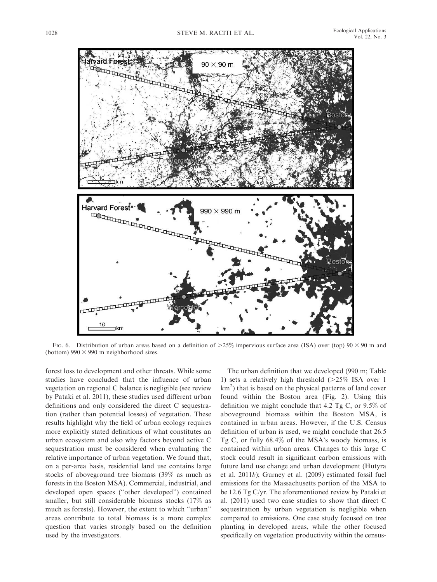

FIG. 6. Distribution of urban areas based on a definition of  $>25\%$  impervious surface area (ISA) over (top)  $90 \times 90$  m and (bottom) 990  $\times$  990 m neighborhood sizes.

forest loss to development and other threats. While some studies have concluded that the influence of urban vegetation on regional C balance is negligible (see review by Pataki et al. 2011), these studies used different urban definitions and only considered the direct C sequestration (rather than potential losses) of vegetation. These results highlight why the field of urban ecology requires more explicitly stated definitions of what constitutes an urban ecosystem and also why factors beyond active C sequestration must be considered when evaluating the relative importance of urban vegetation. We found that, on a per-area basis, residential land use contains large stocks of aboveground tree biomass (39% as much as forests in the Boston MSA). Commercial, industrial, and developed open spaces (''other developed'') contained smaller, but still considerable biomass stocks (17% as much as forests). However, the extent to which ''urban'' areas contribute to total biomass is a more complex question that varies strongly based on the definition used by the investigators.

The urban definition that we developed (990 m; Table 1) sets a relatively high threshold  $(>25\%$  ISA over 1 km<sup>2</sup>) that is based on the physical patterns of land cover found within the Boston area (Fig. 2). Using this definition we might conclude that 4.2 Tg C, or 9.5% of aboveground biomass within the Boston MSA, is contained in urban areas. However, if the U.S. Census definition of urban is used, we might conclude that 26.5 Tg C, or fully 68.4% of the MSA's woody biomass, is contained within urban areas. Changes to this large C stock could result in significant carbon emissions with future land use change and urban development (Hutyra et al. 2011b); Gurney et al. (2009) estimated fossil fuel emissions for the Massachusetts portion of the MSA to be 12.6 Tg C/yr. The aforementioned review by Pataki et al. (2011) used two case studies to show that direct C sequestration by urban vegetation is negligible when compared to emissions. One case study focused on tree planting in developed areas, while the other focused specifically on vegetation productivity within the census-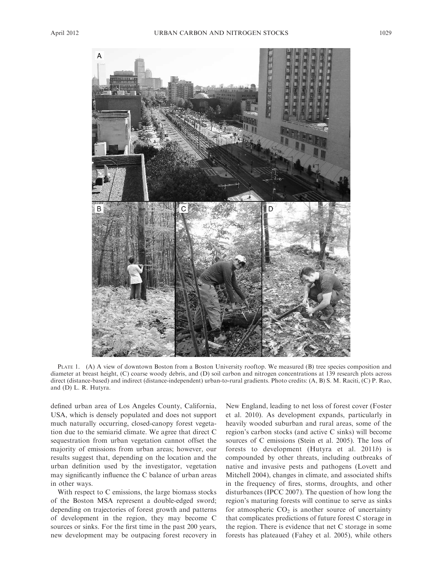

PLATE 1. (A) A view of downtown Boston from a Boston University rooftop. We measured (B) tree species composition and diameter at breast height, (C) coarse woody debris, and (D) soil carbon and nitrogen concentrations at 139 research plots across direct (distance-based) and indirect (distance-independent) urban-to-rural gradients. Photo credits: (A, B) S. M. Raciti, (C) P. Rao, and (D) L. R. Hutyra.

defined urban area of Los Angeles County, California, USA, which is densely populated and does not support much naturally occurring, closed-canopy forest vegetation due to the semiarid climate. We agree that direct C sequestration from urban vegetation cannot offset the majority of emissions from urban areas; however, our results suggest that, depending on the location and the urban definition used by the investigator, vegetation may significantly influence the C balance of urban areas in other ways.

With respect to C emissions, the large biomass stocks of the Boston MSA represent a double-edged sword; depending on trajectories of forest growth and patterns of development in the region, they may become C sources or sinks. For the first time in the past 200 years, new development may be outpacing forest recovery in New England, leading to net loss of forest cover (Foster et al. 2010). As development expands, particularly in heavily wooded suburban and rural areas, some of the region's carbon stocks (and active C sinks) will become sources of C emissions (Stein et al. 2005). The loss of forests to development (Hutyra et al. 2011b) is compounded by other threats, including outbreaks of native and invasive pests and pathogens (Lovett and Mitchell 2004), changes in climate, and associated shifts in the frequency of fires, storms, droughts, and other disturbances (IPCC 2007). The question of how long the region's maturing forests will continue to serve as sinks for atmospheric  $CO<sub>2</sub>$  is another source of uncertainty that complicates predictions of future forest C storage in the region. There is evidence that net C storage in some forests has plateaued (Fahey et al. 2005), while others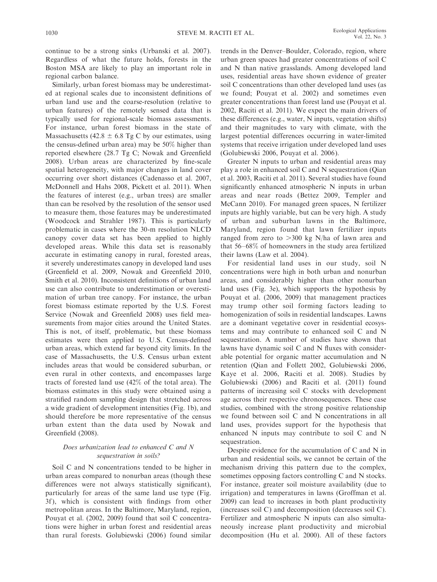continue to be a strong sinks (Urbanski et al. 2007). Regardless of what the future holds, forests in the Boston MSA are likely to play an important role in regional carbon balance.

Similarly, urban forest biomass may be underestimated at regional scales due to inconsistent definitions of urban land use and the coarse-resolution (relative to urban features) of the remotely sensed data that is typically used for regional-scale biomass assessments. For instance, urban forest biomass in the state of Massachusetts (42.8  $\pm$  6.8 Tg C by our estimates, using the census-defined urban area) may be 50% higher than reported elsewhere (28.7 Tg C; Nowak and Greenfield 2008). Urban areas are characterized by fine-scale spatial heterogeneity, with major changes in land cover occurring over short distances (Cadenasso et al. 2007, McDonnell and Hahs 2008, Pickett et al. 2011). When the features of interest (e.g., urban trees) are smaller than can be resolved by the resolution of the sensor used to measure them, those features may be underestimated (Woodcock and Strahler 1987). This is particularly problematic in cases where the 30-m resolution NLCD canopy cover data set has been applied to highly developed areas. While this data set is reasonably accurate in estimating canopy in rural, forested areas, it severely underestimates canopy in developed land uses (Greenfield et al. 2009, Nowak and Greenfield 2010, Smith et al. 2010). Inconsistent definitions of urban land use can also contribute to underestimation or overestimation of urban tree canopy. For instance, the urban forest biomass estimate reported by the U.S. Forest Service (Nowak and Greenfield 2008) uses field measurements from major cities around the United States. This is not, of itself, problematic, but these biomass estimates were then applied to U.S. Census-defined urban areas, which extend far beyond city limits. In the case of Massachusetts, the U.S. Census urban extent includes areas that would be considered suburban, or even rural in other contexts, and encompasses large tracts of forested land use (42% of the total area). The biomass estimates in this study were obtained using a stratified random sampling design that stretched across a wide gradient of development intensities (Fig. 1b), and should therefore be more representative of the census urban extent than the data used by Nowak and Greenfield (2008).

# Does urbanization lead to enhanced C and N sequestration in soils?

Soil C and N concentrations tended to be higher in urban areas compared to nonurban areas (though these differences were not always statistically significant), particularly for areas of the same land use type (Fig. 3f ), which is consistent with findings from other metropolitan areas. In the Baltimore, Maryland, region, Pouyat et al. (2002, 2009) found that soil C concentrations were higher in urban forest and residential areas than rural forests. Golubiewski (2006) found similar trends in the Denver–Boulder, Colorado, region, where urban green spaces had greater concentrations of soil C and N than native grasslands. Among developed land uses, residential areas have shown evidence of greater soil C concentrations than other developed land uses (as we found; Pouyat et al. 2002) and sometimes even greater concentrations than forest land use (Pouyat et al. 2002, Raciti et al. 2011). We expect the main drivers of these differences (e.g., water, N inputs, vegetation shifts) and their magnitudes to vary with climate, with the largest potential differences occurring in water-limited systems that receive irrigation under developed land uses (Golubiewski 2006, Pouyat et al. 2006).

Greater N inputs to urban and residential areas may play a role in enhanced soil C and N sequestration (Qian et al. 2003, Raciti et al. 2011). Several studies have found significantly enhanced atmospheric N inputs in urban areas and near roads (Bettez 2009, Templer and McCann 2010). For managed green spaces, N fertilizer inputs are highly variable, but can be very high. A study of urban and suburban lawns in the Baltimore, Maryland, region found that lawn fertilizer inputs ranged from zero to  $>300$  kg N/ha of lawn area and that 56–68% of homeowners in the study area fertilized their lawns (Law et al. 2004).

For residential land uses in our study, soil N concentrations were high in both urban and nonurban areas, and considerably higher than other nonurban land uses (Fig. 3e), which supports the hypothesis by Pouyat et al. (2006, 2009) that management practices may trump other soil forming factors leading to homogenization of soils in residential landscapes. Lawns are a dominant vegetative cover in residential ecosystems and may contribute to enhanced soil C and N sequestration. A number of studies have shown that lawns have dynamic soil C and N fluxes with considerable potential for organic matter accumulation and N retention (Qian and Follett 2002, Golubiewski 2006, Kaye et al. 2006, Raciti et al. 2008). Studies by Golubiewski (2006) and Raciti et al. (2011) found patterns of increasing soil C stocks with development age across their respective chronosequences. These case studies, combined with the strong positive relationship we found between soil C and N concentrations in all land uses, provides support for the hypothesis that enhanced N inputs may contribute to soil C and N sequestration.

Despite evidence for the accumulation of C and N in urban and residential soils, we cannot be certain of the mechanism driving this pattern due to the complex, sometimes opposing factors controlling C and N stocks. For instance, greater soil moisture availability (due to irrigation) and temperatures in lawns (Groffman et al. 2009) can lead to increases in both plant productivity (increases soil C) and decomposition (decreases soil C). Fertilizer and atmospheric N inputs can also simultaneously increase plant productivity and microbial decomposition (Hu et al. 2000). All of these factors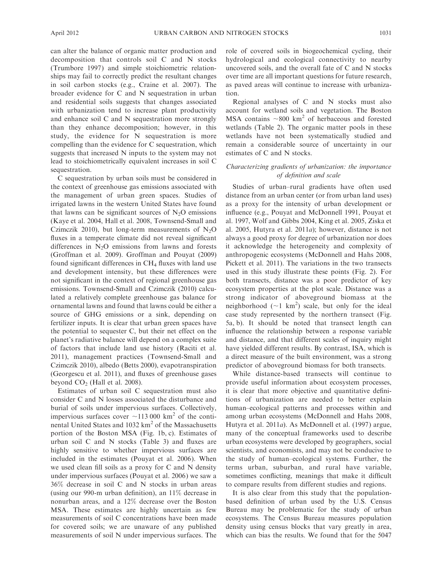can alter the balance of organic matter production and decomposition that controls soil C and N stocks (Trumbore 1997) and simple stoichiometric relationships may fail to correctly predict the resultant changes in soil carbon stocks (e.g., Craine et al. 2007). The broader evidence for C and N sequestration in urban and residential soils suggests that changes associated with urbanization tend to increase plant productivity and enhance soil C and N sequestration more strongly than they enhance decomposition; however, in this study, the evidence for N sequestration is more compelling than the evidence for C sequestration, which suggests that increased N inputs to the system may not lead to stoichiometrically equivalent increases in soil C sequestration.

C sequestration by urban soils must be considered in the context of greenhouse gas emissions associated with the management of urban green spaces. Studies of irrigated lawns in the western United States have found that lawns can be significant sources of  $N_2O$  emissions (Kaye et al. 2004, Hall et al. 2008, Townsend-Small and Czimczik 2010), but long-term measurements of  $N_2O$ fluxes in a temperate climate did not reveal significant differences in  $N_2O$  emissions from lawns and forests (Groffman et al. 2009). Groffman and Pouyat (2009) found significant differences in  $CH<sub>4</sub>$  fluxes with land use and development intensity, but these differences were not significant in the context of regional greenhouse gas emissions. Townsend-Small and Czimczik (2010) calculated a relatively complete greenhouse gas balance for ornamental lawns and found that lawns could be either a source of GHG emissions or a sink, depending on fertilizer inputs. It is clear that urban green spaces have the potential to sequester C, but their net effect on the planet's radiative balance will depend on a complex suite of factors that include land use history (Raciti et al. 2011), management practices (Townsend-Small and Czimczik 2010), albedo (Betts 2000), evapotranspiration (Georgescu et al. 2011), and fluxes of greenhouse gases beyond  $CO<sub>2</sub>$  (Hall et al. 2008).

Estimates of urban soil C sequestration must also consider C and N losses associated the disturbance and burial of soils under impervious surfaces. Collectively, impervious surfaces cover  $\sim$ 113 000 km<sup>2</sup> of the continental United States and 1032  $km^2$  of the Massachusetts portion of the Boston MSA (Fig. 1b, c). Estimates of urban soil C and N stocks (Table 3) and fluxes are highly sensitive to whether impervious surfaces are included in the estimates (Pouyat et al. 2006). When we used clean fill soils as a proxy for C and N density under impervious surfaces (Pouyat et al. 2006) we saw a 36% decrease in soil C and N stocks in urban areas (using our 990-m urban definition), an 11% decrease in nonurban areas, and a 12% decrease over the Boston MSA. These estimates are highly uncertain as few measurements of soil C concentrations have been made for covered soils; we are unaware of any published measurements of soil N under impervious surfaces. The role of covered soils in biogeochemical cycling, their hydrological and ecological connectivity to nearby uncovered soils, and the overall fate of C and N stocks over time are all important questions for future research, as paved areas will continue to increase with urbanization.

Regional analyses of C and N stocks must also account for wetland soils and vegetation. The Boston MSA contains  $\sim 800 \text{ km}^2$  of herbaceous and forested wetlands (Table 2). The organic matter pools in these wetlands have not been systematically studied and remain a considerable source of uncertainty in our estimates of C and N stocks.

# Characterizing gradients of urbanization: the importance of definition and scale

Studies of urban–rural gradients have often used distance from an urban center (or from urban land uses) as a proxy for the intensity of urban development or influence (e.g., Pouyat and McDonnell 1991, Pouyat et al. 1997, Wolf and Gibbs 2004, King et al. 2005, Ziska et al. 2005, Hutyra et al. 2011a); however, distance is not always a good proxy for degree of urbanization nor does it acknowledge the heterogeneity and complexity of anthropogenic ecosystems (McDonnell and Hahs 2008, Pickett et al. 2011). The variations in the two transects used in this study illustrate these points (Fig. 2). For both transects, distance was a poor predictor of key ecosystem properties at the plot scale. Distance was a strong indicator of aboveground biomass at the neighborhood  $(\sim 1 \text{ km}^2)$  scale, but only for the ideal case study represented by the northern transect (Fig. 5a, b). It should be noted that transect length can influence the relationship between a response variable and distance, and that different scales of inquiry might have yielded different results. By contrast, ISA, which is a direct measure of the built environment, was a strong predictor of aboveground biomass for both transects.

While distance-based transects will continue to provide useful information about ecosystem processes, it is clear that more objective and quantitative definitions of urbanization are needed to better explain human–ecological patterns and processes within and among urban ecosystems (McDonnell and Hahs 2008, Hutyra et al. 2011a). As McDonnell et al. (1997) argue, many of the conceptual frameworks used to describe urban ecosystems were developed by geographers, social scientists, and economists, and may not be conducive to the study of human–ecological systems. Further, the terms urban, suburban, and rural have variable, sometimes conflicting, meanings that make it difficult to compare results from different studies and regions.

It is also clear from this study that the populationbased definition of urban used by the U.S. Census Bureau may be problematic for the study of urban ecosystems. The Census Bureau measures population density using census blocks that vary greatly in area, which can bias the results. We found that for the 5047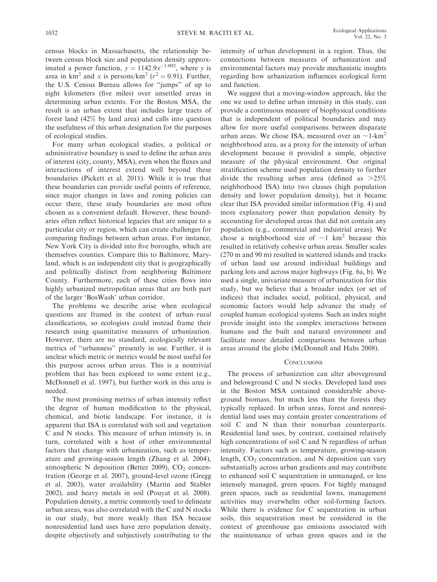census blocks in Massachusetts, the relationship between census block size and population density approximated a power function,  $y = 1142.9x^{-1.002}$ , where y is area in km<sup>2</sup> and x is persons/km<sup>2</sup> ( $r^2 = 0.91$ ). Further, the U.S. Census Bureau allows for ''jumps'' of up to eight kilometers (five miles) over unsettled areas in determining urban extents. For the Boston MSA, the result is an urban extent that includes large tracts of forest land (42% by land area) and calls into question the usefulness of this urban designation for the purposes of ecological studies.

For many urban ecological studies, a political or administrative boundary is used to define the urban area of interest (city, county, MSA), even when the fluxes and interactions of interest extend well beyond these boundaries (Pickett et al. 2011). While it is true that these boundaries can provide useful points of reference, since major changes in laws and zoning policies can occur there, these study boundaries are most often chosen as a convenient default. However, these boundaries often reflect historical legacies that are unique to a particular city or region, which can create challenges for comparing findings between urban areas. For instance, New York City is divided into five boroughs, which are themselves counties. Compare this to Baltimore, Maryland, which is an independent city that is geographically and politically distinct from neighboring Baltimore County. Furthermore, each of these cities flows into highly urbanized metropolitan areas that are both part of the larger 'BosWash' urban corridor.

The problems we describe arise when ecological questions are framed in the context of urban–rural classifications, so ecologists could instead frame their research using quantitative measures of urbanization. However, there are no standard, ecologically relevant metrics of ''urbanness'' presently in use. Further, it is unclear which metric or metrics would be most useful for this purpose across urban areas. This is a nontrivial problem that has been explored to some extent (e.g., McDonnell et al. 1997), but further work in this area is needed.

The most promising metrics of urban intensity reflect the degree of human modification to the physical, chemical, and biotic landscape. For instance, it is apparent that ISA is correlated with soil and vegetation C and N stocks. This measure of urban intensity is, in turn, correlated with a host of other environmental factors that change with urbanization, such as temperature and growing-season length (Zhang et al. 2004), atmospheric N deposition (Bettez 2009),  $CO<sub>2</sub>$  concentration (George et al. 2007), ground-level ozone (Gregg et al. 2003), water availability (Martin and Stabler 2002), and heavy metals in soil (Pouyat et al. 2008). Population density, a metric commonly used to delineate urban areas, was also correlated with the C and N stocks in our study, but more weakly than ISA because nonresidential land uses have zero population density, despite objectively and subjectively contributing to the intensity of urban development in a region. Thus, the connections between measures of urbanization and environmental factors may provide mechanistic insights regarding how urbanization influences ecological form and function.

We suggest that a moving-window approach, like the one we used to define urban intensity in this study, can provide a continuous measure of biophysical conditions that is independent of political boundaries and may allow for more useful comparisons between disparate urban areas. We chose ISA, measured over an  $\sim$ 1-km<sup>2</sup> neighborhood area, as a proxy for the intensity of urban development because it provided a simple, objective measure of the physical environment. Our original stratification scheme used population density to further divide the resulting urban area (defined as  $>25\%$ ) neighborhood ISA) into two classes (high population density and lower population density), but it became clear that ISA provided similar information (Fig. 4) and more explanatory power than population density by accounting for developed areas that did not contain any population (e.g., commercial and industrial areas). We chose a neighborhood size of  $\sim$ 1 km<sup>2</sup> because this resulted in relatively cohesive urban areas. Smaller scales (270 m and 90 m) resulted in scattered islands and tracks of urban land use around individual buildings and parking lots and across major highways (Fig. 6a, b). We used a single, univariate measure of urbanization for this study, but we believe that a broader index (or set of indices) that includes social, political, physical, and economic factors would help advance the study of coupled human–ecological systems. Such an index might provide insight into the complex interactions between humans and the built and natural environment and facilitate more detailed comparisons between urban areas around the globe (McDonnell and Hahs 2008).

## **CONCLUSIONS**

The process of urbanization can alter aboveground and belowground C and N stocks. Developed land uses in the Boston MSA contained considerable aboveground biomass, but much less than the forests they typically replaced. In urban areas, forest and nonresidential land uses may contain greater concentrations of soil C and N than their nonurban counterparts. Residential land uses, by contrast, contained relatively high concentrations of soil C and N regardless of urban intensity. Factors such as temperature, growing-season length,  $CO<sub>2</sub>$  concentration, and N deposition can vary substantially across urban gradients and may contribute to enhanced soil C sequestration in unmanaged, or less intensely managed, green spaces. For highly managed green spaces, such as residential lawns, management activities may overwhelm other soil-forming factors. While there is evidence for C sequestration in urban soils, this sequestration must be considered in the context of greenhouse gas emissions associated with the maintenance of urban green spaces and in the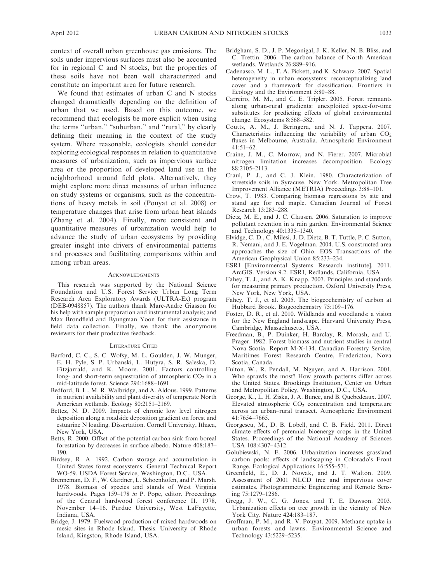context of overall urban greenhouse gas emissions. The soils under impervious surfaces must also be accounted for in regional C and N stocks, but the properties of these soils have not been well characterized and constitute an important area for future research.

We found that estimates of urban C and N stocks changed dramatically depending on the definition of urban that we used. Based on this outcome, we recommend that ecologists be more explicit when using the terms "urban," "suburban," and "rural," by clearly defining their meaning in the context of the study system. Where reasonable, ecologists should consider exploring ecological responses in relation to quantitative measures of urbanization, such as impervious surface area or the proportion of developed land use in the neighborhood around field plots. Alternatively, they might explore more direct measures of urban influence on study systems or organisms, such as the concentrations of heavy metals in soil (Pouyat et al. 2008) or temperature changes that arise from urban heat islands (Zhang et al. 2004). Finally, more consistent and quantitative measures of urbanization would help to advance the study of urban ecosystems by providing greater insight into drivers of environmental patterns and processes and facilitating comparisons within and among urban areas.

#### **ACKNOWLEDGMENTS**

This research was supported by the National Science Foundation and U.S. Forest Service Urban Long Term Research Area Exploratory Awards (ULTRA-Ex) program (DEB-0948857). The authors thank Marc-Andre Giasson for his help with sample preparation and instrumental analysis; and Max Brondfield and Byungman Yoon for their assistance in field data collection. Finally, we thank the anonymous reviewers for their productive feedback.

#### LITERATURE CITED

- Barford, C. C., S. C. Wofsy, M. L. Goulden, J. W. Munger, E. H. Pyle, S. P. Urbanski, L. Hutyra, S. R. Saleska, D. Fitzjarrald, and K. Moore. 2001. Factors controlling long- and short-term sequestration of atmospheric  $CO<sub>2</sub>$  in a mid-latitude forest. Science 294:1688–1691.
- Bedford, B. L., M. R. Walbridge, and A. Aldous. 1999. Patterns in nutrient availability and plant diversity of temperate North American wetlands. Ecology 80:2151–2169.
- Bettez, N. D. 2009. Impacts of chronic low level nitrogen deposition along a roadside deposition gradient on forest and estuarine N loading. Dissertation. Cornell University, Ithaca, New York, USA.
- Betts, R. 2000. Offset of the potential carbon sink from boreal forestation by decreases in surface albedo. Nature 408:187– 190.
- Birdsey, R. A. 1992. Carbon storage and accumulation in United States forest ecosystems. General Technical Report WO-59. USDA Forest Service, Washington, D.C., USA.
- Brenneman, D. F., W. Gardner, L. Schoenhofen, and P. Marsh. 1978. Biomass of species and stands of West Virginia hardwoods. Pages 159-178 in P. Pope, editor. Proceedings of the Central hardwood forest conference II. 1978, November 14–16. Purdue University, West LaFayette, Indiana, USA.
- Bridge, J. 1979. Fuelwood production of mixed hardwoods on mesic sites in Rhode Island. Thesis. University of Rhode Island, Kingston, Rhode Island, USA.
- Bridgham, S. D., J. P. Megonigal, J. K. Keller, N. B. Bliss, and C. Trettin. 2006. The carbon balance of North American wetlands. Wetlands 26:889–916.
- Cadenasso, M. L., T. A. Pickett, and K. Schwarz. 2007. Spatial heterogeneity in urban ecosystems: reconceptualizing land cover and a framework for classification. Frontiers in Ecology and the Environment 5:80–88.
- Carreiro, M. M., and C. E. Tripler. 2005. Forest remnants along urban-rural gradients: unexploited space-for-time substitutes for predicting effects of global environmental change. Ecosystems 8:568–582.
- Coutts, A. M., J. Beringera, and N. J. Tappera. 2007. Characteristics influencing the variability of urban  $CO<sub>2</sub>$ fluxes in Melbourne, Australia. Atmospheric Environment 41:51–62.
- Craine, J. M., C. Morrow, and N. Fierer. 2007. Microbial nitrogen limitation increases decomposition. Ecology 88:2105–2113.
- Craul, P. J., and C. J. Klein. 1980. Characterization of streetside soils in Syracuse, New York. Metropolitan Tree Improvement Alliance (METRIA) Proceedings 3:88–101.
- Crow, T. 1983. Comparing biomass regressions by site and stand age for red maple. Canadian Journal of Forest Research 13:283–288.
- Dietz, M. E., and J. C. Clausen. 2006. Saturation to improve pollutant retention in a rain garden. Environmental Science and Technology 40:1335–1340.
- Elvidge, C. D., C. Milesi, J. D. Dietz, B. T. Tuttle, P. C. Sutton, R. Nemani, and J. E. Vogelman. 2004. U.S. constructed area approaches the size of Ohio. EOS Transactions of the American Geophysical Union 85:233–234.
- ESRI [Environmental Systems Research institute]. 2011. ArcGIS. Version 9.2. ESRI, Redlands, California, USA.
- Fahey, T. J., and A. K. Knapp. 2007. Principles and standards for measuring primary production. Oxford University Press, New York, New York, USA.
- Fahey, T. J., et al. 2005. The biogeochemistry of carbon at Hubbard Brook. Biogeochemistry 75:109–176.
- Foster, D. R., et al. 2010. Wildlands and woodlands: a vision for the New England landscape. Harvard University Press, Cambridge, Massachusetts, USA.
- Freedman, B., P. Duinker, H. Barclay, R. Morash, and U. Prager. 1982. Forest biomass and nutrient studies in central Nova Scotia. Report M-X-134. Canadian Forestry Service, Maritimes Forest Research Centre, Fredericton, Nova Scotia, Canada.
- Fulton, W., R. Pendall, M. Nguyen, and A. Harrison. 2001. Who sprawls the most? How growth patterns differ across the United States. Brookings Institution, Center on Urban and Metropolitan Policy, Washington, D.C., USA.
- George, K., L. H. Ziska, J. A. Bunce, and B. Quebedeaux. 2007. Elevated atmospheric  $CO<sub>2</sub>$  concentration and temperature across an urban–rural transect. Atmospheric Environment 41:7654–7665.
- Georgescu, M., D. B. Lobell, and C. B. Field. 2011. Direct climate effects of perennial bioenergy crops in the United States. Proceedings of the National Academy of Sciences USA 108:4307–4312.
- Golubiewski, N. E. 2006. Urbanization increases grassland carbon pools: effects of landscaping in Colorado's Front Range. Ecological Applications 16:555-571.
- Greenfield, E., D. J. Nowak, and J. T. Walton. 2009. Assessment of 2001 NLCD tree and impervious cover estimates. Photogrammetric Engineering and Remote Sensing 75:1279–1286.
- Gregg, J. W., C. G. Jones, and T. E. Dawson. 2003. Urbanization effects on tree growth in the vicinity of New York City. Nature 424:183–187.
- Groffman, P. M., and R. V. Pouyat. 2009. Methane uptake in urban forests and lawns. Environmental Science and Technology 43:5229–5235.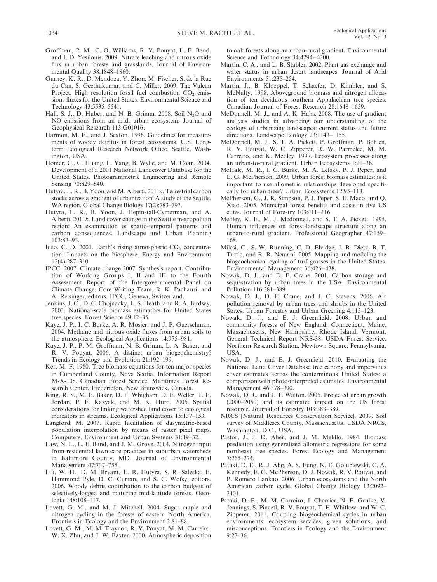- Groffman, P. M., C. O. Williams, R. V. Pouyat, L. E. Band, and I. D. Yesilonis. 2009. Nitrate leaching and nitrous oxide flux in urban forests and grasslands. Journal of Environmental Quality 38:1848–1860.
- Gurney, K. R., D. Mendoza, Y. Zhou, M. Fischer, S. de la Rue du Can, S. Geethakumar, and C. Miller. 2009. The Vulcan Project: High resolution fossil fuel combustion  $CO<sub>2</sub>$  emissions fluxes for the United States. Environmental Science and Technology 43:5535–5541.
- Hall, S. J., D. Huber, and N. B. Grimm. 2008. Soil  $N_2O$  and NO emissions from an arid, urban ecosystem. Journal of Geophysical Research 113:G01016.
- Harmon, M. E., and J. Sexton. 1996. Guidelines for measurements of woody detritus in forest ecosystems. U.S. Longterm Ecological Research Network Office, Seattle, Washington, USA.
- Homer, C., C. Huang, L. Yang, B. Wylie, and M. Coan. 2004. Development of a 2001 National Landcover Database for the United States. Photogrammetric Engineering and Remote Sensing 70:829–840.
- Hutyra, L. R., B. Yoon, and M. Alberti. 2011a. Terrestrial carbon stocks across a gradient of urbanization: A study of the Seattle, WA region. Global Change Biology 17(2):783–797.
- Hutyra, L. R., B. Yoon, J. Hepinstall-Cymerman, and A. Alberti. 2011b. Land cover change in the Seattle metropolitan region: An examination of spatio-temporal patterns and carbon consequences. Landscape and Urban Planning 103:83–93.
- Idso, C. D. 2001. Earth's rising atmospheric  $CO<sub>2</sub>$  concentration: Impacts on the biosphere. Energy and Environment 12(4):287–310.
- IPCC. 2007. Climate change 2007: Synthesis report. Contribution of Working Groups I, II and III to the Fourth Assessment Report of the Intergovernmental Panel on Climate Change. Core Writing Team, R. K. Pachauri, and A. Reisinger, editors. IPCC, Geneva, Switzerland.
- Jenkins, J. C., D. C. Chojnacky, L. S. Heath, and R. A. Birdsey. 2003. National-scale biomass estimators for United States tree species. Forest Science 49:12–35.
- Kaye, J. P., I. C. Burke, A. R. Mosier, and J. P. Guerschman. 2004. Methane and nitrous oxide fluxes from urban soils to the atmosphere. Ecological Applications 14:975–981.
- Kaye, J. P., P. M. Groffman, N. B. Grimm, L. A. Baker, and R. V. Pouyat. 2006. A distinct urban biogeochemistry? Trends in Ecology and Evolution 21:192–199.
- Ker, M. F. 1980. Tree biomass equations for ten major species in Cumberland County, Nova Scotia. Information Report M-X-108. Canadian Forest Service, Maritimes Forest Research Center, Fredericton, New Brunswick, Canada.
- King, R. S., M. E. Baker, D. F. Whigham, D. E. Weller, T. E. Jordan, P. F. Kazyak, and M. K. Hurd. 2005. Spatial considerations for linking watershed land cover to ecological indicators in streams. Ecological Applications 15:137–153.
- Langford, M. 2007. Rapid facilitation of dasymetric-based population interpolation by means of raster pixel maps. Computers, Environment and Urban Systems 31:19–32.
- Law, N. L., L. E. Band, and J. M. Grove. 2004. Nitrogen input from residential lawn care practices in suburban watersheds in Baltimore County, MD. Journal of Environmental Management 47:737–755.
- Liu, W. H., D. M. Bryant, L. R. Hutyra, S. R. Saleska, E. Hammond Pyle, D. C. Curran, and S. C. Wofsy, editors. 2006. Woody debris contribution to the carbon budgets of selectively-logged and maturing mid-latitude forests. Oecologia 148:108–117.
- Lovett, G. M., and M. J. Mitchell. 2004. Sugar maple and nitrogen cycling in the forests of eastern North America. Frontiers in Ecology and the Environment 2:81–88.
- Lovett, G. M., M. M. Traynor, R. V. Pouyat, M. M. Carreiro, W. X. Zhu, and J. W. Baxter. 2000. Atmospheric deposition

to oak forests along an urban-rural gradient. Environmental Science and Technology 34:4294–4300.

- Martin, C. A., and L. B. Stabler. 2002. Plant gas exchange and water status in urban desert landscapes. Journal of Arid Environments 51:235–254.
- Martin, J., B. Kloeppel, T. Schaefer, D. Kimbler, and S. McNulty. 1998. Aboveground biomass and nitrogen allocation of ten deciduous southern Appalachian tree species. Canadian Journal of Forest Research 28:1648–1659.
- McDonnell, M. J., and A. K. Hahs. 2008. The use of gradient analysis studies in advancing our understanding of the ecology of urbanizing landscapes: current status and future directions. Landscape Ecology 23:1143–1155.
- McDonnell, M. J., S. T. A. Pickett, P. Groffman, P. Bohlen, R. V. Pouyat, W. C. Zipperer, R. W. Parmelee, M. M. Carreiro, and K. Medley. 1997. Ecosystem processes along an urban-to-rural gradient. Urban Ecosystems 1:21–36.
- McHale, M. R., I. C. Burke, M. A. Lefsky, P. J. Peper, and E. G. McPherson. 2009. Urban forest biomass estimates: is it important to use allometric relationships developed specifically for urban trees? Urban Ecosystems 12:95–113.
- McPherson, G., J. R. Simpson, P. J. Peper, S. E. Maco, and Q. Xiao. 2005. Municipal forest benefits and costs in five US cities. Journal of Forestry 103:411–416.
- Medley, K. E., M. J. Mcdonnell, and S. T. A. Pickett. 1995. Human influences on forest-landscape structure along an urban-to-rural gradient. Professional Geographer 47:159– 168.
- Milesi, C., S. W. Running, C. D. Elvidge, J. B. Dietz, B. T. Tuttle, and R. R. Nemani. 2005. Mapping and modeling the biogeochemical cycling of turf grasses in the United States. Environmental Management 36:426–438.
- Nowak, D. J., and D. E. Crane. 2001. Carbon storage and sequestration by urban trees in the USA. Environmental Pollution 116:381–389.
- Nowak, D. J., D. E. Crane, and J. C. Stevens. 2006. Air pollution removal by urban trees and shrubs in the United States. Urban Forestry and Urban Greening 4:115–123.
- Nowak, D. J., and E. J. Greenfield. 2008. Urban and community forests of New England: Connecticut, Maine, Massachusetts, New Hampshire, Rhode Island, Vermont. General Technical Report NRS-38. USDA Forest Service, Northern Research Station, Newtown Square, Pennsylvania, USA.
- Nowak, D. J., and E. J. Greenfield. 2010. Evaluating the National Land Cover Database tree canopy and impervious cover estimates across the conterminous United States: a comparison with photo-interpreted estimates. Environmental Management 46:378–390.
- Nowak, D. J., and J. T. Walton. 2005. Projected urban growth (2000–2050) and its estimated impact on the US forest resource. Journal of Forestry 103:383–389.
- NRCS [Natural Resources Conservation Service]. 2009. Soil survey of Middlesex County, Massachusetts. USDA NRCS, Washington, D.C., USA.
- Pastor, J., J. D. Aber, and J. M. Melillo. 1984. Biomass prediction using generalized allometric regressions for some northeast tree species. Forest Ecology and Management 7:265–274.
- Pataki, D. E., R. J. Alig, A. S. Fung, N. E. Golubiewski, C. A. Kennedy, E. G. McPherson, D. J. Nowak, R. V. Pouyat, and P. Romero Lankao. 2006. Urban ecosystems and the North American carbon cycle. Global Change Biology 12:2092– 2101.
- Pataki, D. E., M. M. Carreiro, J. Cherrier, N. E. Grulke, V. Jennings, S. Pincetl, R. V. Pouyat, T. H. Whitlow, and W. C. Zipperer. 2011. Coupling biogeochemical cycles in urban environments: ecosystem services, green solutions, and misconceptions. Frontiers in Ecology and the Environment 9:27–36.